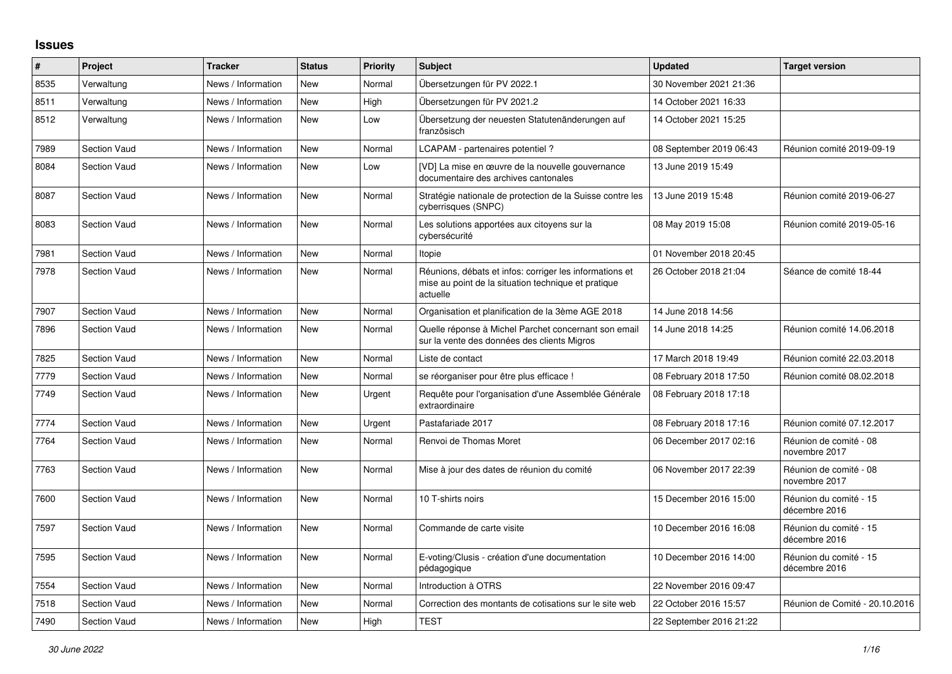## **Issues**

| #    | Project             | <b>Tracker</b>     | <b>Status</b> | <b>Priority</b> | <b>Subject</b>                                                                                                             | <b>Updated</b>          | <b>Target version</b>                   |
|------|---------------------|--------------------|---------------|-----------------|----------------------------------------------------------------------------------------------------------------------------|-------------------------|-----------------------------------------|
| 8535 | Verwaltung          | News / Information | <b>New</b>    | Normal          | Übersetzungen für PV 2022.1                                                                                                | 30 November 2021 21:36  |                                         |
| 8511 | Verwaltung          | News / Information | <b>New</b>    | High            | Übersetzungen für PV 2021.2                                                                                                | 14 October 2021 16:33   |                                         |
| 8512 | Verwaltung          | News / Information | New           | Low             | Übersetzung der neuesten Statutenänderungen auf<br>französisch                                                             | 14 October 2021 15:25   |                                         |
| 7989 | <b>Section Vaud</b> | News / Information | <b>New</b>    | Normal          | LCAPAM - partenaires potentiel?                                                                                            | 08 September 2019 06:43 | Réunion comité 2019-09-19               |
| 8084 | <b>Section Vaud</b> | News / Information | <b>New</b>    | Low             | [VD] La mise en œuvre de la nouvelle gouvernance<br>documentaire des archives cantonales                                   | 13 June 2019 15:49      |                                         |
| 8087 | <b>Section Vaud</b> | News / Information | New           | Normal          | Stratégie nationale de protection de la Suisse contre les<br>cyberrisques (SNPC)                                           | 13 June 2019 15:48      | Réunion comité 2019-06-27               |
| 8083 | <b>Section Vaud</b> | News / Information | <b>New</b>    | Normal          | Les solutions apportées aux citoyens sur la<br>cybersécurité                                                               | 08 May 2019 15:08       | Réunion comité 2019-05-16               |
| 7981 | <b>Section Vaud</b> | News / Information | <b>New</b>    | Normal          | Itopie                                                                                                                     | 01 November 2018 20:45  |                                         |
| 7978 | <b>Section Vaud</b> | News / Information | <b>New</b>    | Normal          | Réunions, débats et infos: corriger les informations et<br>mise au point de la situation technique et pratique<br>actuelle | 26 October 2018 21:04   | Séance de comité 18-44                  |
| 7907 | <b>Section Vaud</b> | News / Information | <b>New</b>    | Normal          | Organisation et planification de la 3ème AGE 2018                                                                          | 14 June 2018 14:56      |                                         |
| 7896 | <b>Section Vaud</b> | News / Information | <b>New</b>    | Normal          | Quelle réponse à Michel Parchet concernant son email<br>sur la vente des données des clients Migros                        | 14 June 2018 14:25      | Réunion comité 14.06.2018               |
| 7825 | <b>Section Vaud</b> | News / Information | <b>New</b>    | Normal          | Liste de contact                                                                                                           | 17 March 2018 19:49     | Réunion comité 22.03.2018               |
| 7779 | <b>Section Vaud</b> | News / Information | <b>New</b>    | Normal          | se réorganiser pour être plus efficace !                                                                                   | 08 February 2018 17:50  | Réunion comité 08.02.2018               |
| 7749 | <b>Section Vaud</b> | News / Information | New           | Urgent          | Requête pour l'organisation d'une Assemblée Générale<br>extraordinaire                                                     | 08 February 2018 17:18  |                                         |
| 7774 | <b>Section Vaud</b> | News / Information | <b>New</b>    | Urgent          | Pastafariade 2017                                                                                                          | 08 February 2018 17:16  | Réunion comité 07.12.2017               |
| 7764 | <b>Section Vaud</b> | News / Information | <b>New</b>    | Normal          | Renvoi de Thomas Moret                                                                                                     | 06 December 2017 02:16  | Réunion de comité - 08<br>novembre 2017 |
| 7763 | <b>Section Vaud</b> | News / Information | <b>New</b>    | Normal          | Mise à jour des dates de réunion du comité                                                                                 | 06 November 2017 22:39  | Réunion de comité - 08<br>novembre 2017 |
| 7600 | <b>Section Vaud</b> | News / Information | <b>New</b>    | Normal          | 10 T-shirts noirs                                                                                                          | 15 December 2016 15:00  | Réunion du comité - 15<br>décembre 2016 |
| 7597 | <b>Section Vaud</b> | News / Information | <b>New</b>    | Normal          | Commande de carte visite                                                                                                   | 10 December 2016 16:08  | Réunion du comité - 15<br>décembre 2016 |
| 7595 | <b>Section Vaud</b> | News / Information | <b>New</b>    | Normal          | E-voting/Clusis - création d'une documentation<br>pédagogique                                                              | 10 December 2016 14:00  | Réunion du comité - 15<br>décembre 2016 |
| 7554 | <b>Section Vaud</b> | News / Information | <b>New</b>    | Normal          | Introduction à OTRS                                                                                                        | 22 November 2016 09:47  |                                         |
| 7518 | <b>Section Vaud</b> | News / Information | <b>New</b>    | Normal          | Correction des montants de cotisations sur le site web                                                                     | 22 October 2016 15:57   | Réunion de Comité - 20.10.2016          |
| 7490 | <b>Section Vaud</b> | News / Information | New           | High            | TEST                                                                                                                       | 22 September 2016 21:22 |                                         |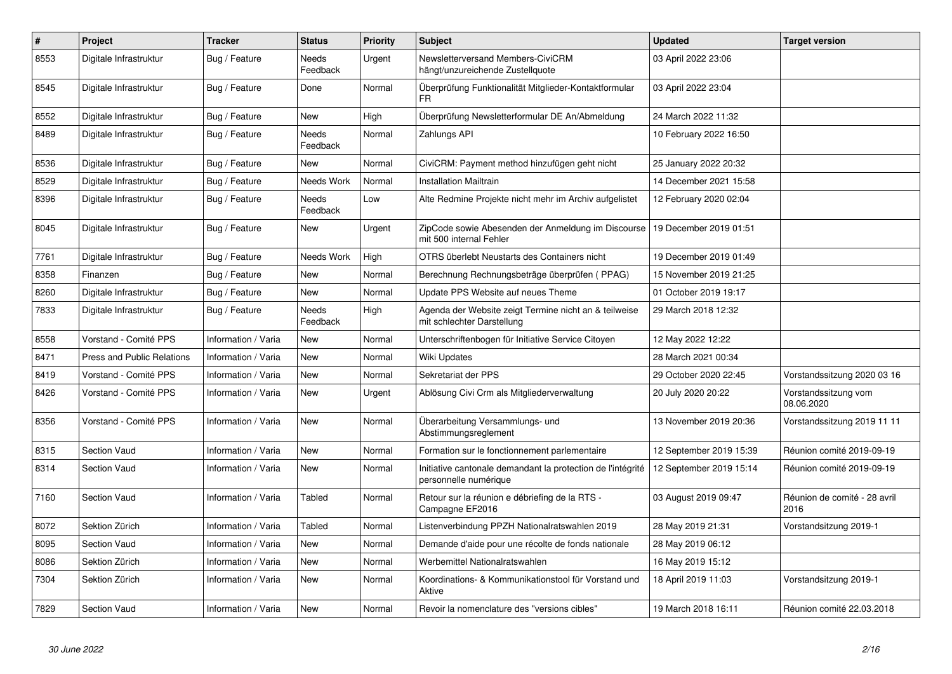| $\#$ | Project                           | <b>Tracker</b>      | <b>Status</b>            | <b>Priority</b> | <b>Subject</b>                                                                       | <b>Updated</b>          | <b>Target version</b>                |
|------|-----------------------------------|---------------------|--------------------------|-----------------|--------------------------------------------------------------------------------------|-------------------------|--------------------------------------|
| 8553 | Digitale Infrastruktur            | Bug / Feature       | Needs<br>Feedback        | Urgent          | Newsletterversand Members-CiviCRM<br>hängt/unzureichende Zustellquote                | 03 April 2022 23:06     |                                      |
| 8545 | Digitale Infrastruktur            | Bug / Feature       | Done                     | Normal          | Überprüfung Funktionalität Mitglieder-Kontaktformular<br>FR                          | 03 April 2022 23:04     |                                      |
| 8552 | Digitale Infrastruktur            | Bug / Feature       | New                      | High            | Überprüfung Newsletterformular DE An/Abmeldung                                       | 24 March 2022 11:32     |                                      |
| 8489 | Digitale Infrastruktur            | Bug / Feature       | Needs<br>Feedback        | Normal          | Zahlungs API                                                                         | 10 February 2022 16:50  |                                      |
| 8536 | Digitale Infrastruktur            | Bug / Feature       | <b>New</b>               | Normal          | CiviCRM: Payment method hinzufügen geht nicht                                        | 25 January 2022 20:32   |                                      |
| 8529 | Digitale Infrastruktur            | Bug / Feature       | Needs Work               | Normal          | Installation Mailtrain                                                               | 14 December 2021 15:58  |                                      |
| 8396 | Digitale Infrastruktur            | Bug / Feature       | Needs<br>Feedback        | Low             | Alte Redmine Projekte nicht mehr im Archiv aufgelistet                               | 12 February 2020 02:04  |                                      |
| 8045 | Digitale Infrastruktur            | Bug / Feature       | New                      | Urgent          | ZipCode sowie Abesenden der Anmeldung im Discourse<br>mit 500 internal Fehler        | 19 December 2019 01:51  |                                      |
| 7761 | Digitale Infrastruktur            | Bug / Feature       | Needs Work               | High            | OTRS überlebt Neustarts des Containers nicht                                         | 19 December 2019 01:49  |                                      |
| 8358 | Finanzen                          | Bug / Feature       | <b>New</b>               | Normal          | Berechnung Rechnungsbeträge überprüfen (PPAG)                                        | 15 November 2019 21:25  |                                      |
| 8260 | Digitale Infrastruktur            | Bug / Feature       | <b>New</b>               | Normal          | Update PPS Website auf neues Theme                                                   | 01 October 2019 19:17   |                                      |
| 7833 | Digitale Infrastruktur            | Bug / Feature       | <b>Needs</b><br>Feedback | High            | Agenda der Website zeigt Termine nicht an & teilweise<br>mit schlechter Darstellung  | 29 March 2018 12:32     |                                      |
| 8558 | Vorstand - Comité PPS             | Information / Varia | <b>New</b>               | Normal          | Unterschriftenbogen für Initiative Service Citoyen                                   | 12 May 2022 12:22       |                                      |
| 8471 | <b>Press and Public Relations</b> | Information / Varia | <b>New</b>               | Normal          | Wiki Updates                                                                         | 28 March 2021 00:34     |                                      |
| 8419 | Vorstand - Comité PPS             | Information / Varia | <b>New</b>               | Normal          | Sekretariat der PPS                                                                  | 29 October 2020 22:45   | Vorstandssitzung 2020 03 16          |
| 8426 | Vorstand - Comité PPS             | Information / Varia | New                      | Urgent          | Ablösung Civi Crm als Mitgliederverwaltung                                           | 20 July 2020 20:22      | Vorstandssitzung vom<br>08.06.2020   |
| 8356 | Vorstand - Comité PPS             | Information / Varia | <b>New</b>               | Normal          | Überarbeitung Versammlungs- und<br>Abstimmungsreglement                              | 13 November 2019 20:36  | Vorstandssitzung 2019 11 11          |
| 8315 | <b>Section Vaud</b>               | Information / Varia | <b>New</b>               | Normal          | Formation sur le fonctionnement parlementaire                                        | 12 September 2019 15:39 | Réunion comité 2019-09-19            |
| 8314 | <b>Section Vaud</b>               | Information / Varia | New                      | Normal          | Initiative cantonale demandant la protection de l'intégrité<br>personnelle numérique | 12 September 2019 15:14 | Réunion comité 2019-09-19            |
| 7160 | Section Vaud                      | Information / Varia | Tabled                   | Normal          | Retour sur la réunion e débriefing de la RTS -<br>Campagne EF2016                    | 03 August 2019 09:47    | Réunion de comité - 28 avril<br>2016 |
| 8072 | Sektion Zürich                    | Information / Varia | Tabled                   | Normal          | Listenverbindung PPZH Nationalratswahlen 2019                                        | 28 May 2019 21:31       | Vorstandsitzung 2019-1               |
| 8095 | Section Vaud                      | Information / Varia | <b>New</b>               | Normal          | Demande d'aide pour une récolte de fonds nationale                                   | 28 May 2019 06:12       |                                      |
| 8086 | Sektion Zürich                    | Information / Varia | <b>New</b>               | Normal          | Werbemittel Nationalratswahlen                                                       | 16 May 2019 15:12       |                                      |
| 7304 | Sektion Zürich                    | Information / Varia | <b>New</b>               | Normal          | Koordinations- & Kommunikationstool für Vorstand und<br>Aktive                       | 18 April 2019 11:03     | Vorstandsitzung 2019-1               |
| 7829 | Section Vaud                      | Information / Varia | <b>New</b>               | Normal          | Revoir la nomenclature des "versions cibles"                                         | 19 March 2018 16:11     | Réunion comité 22.03.2018            |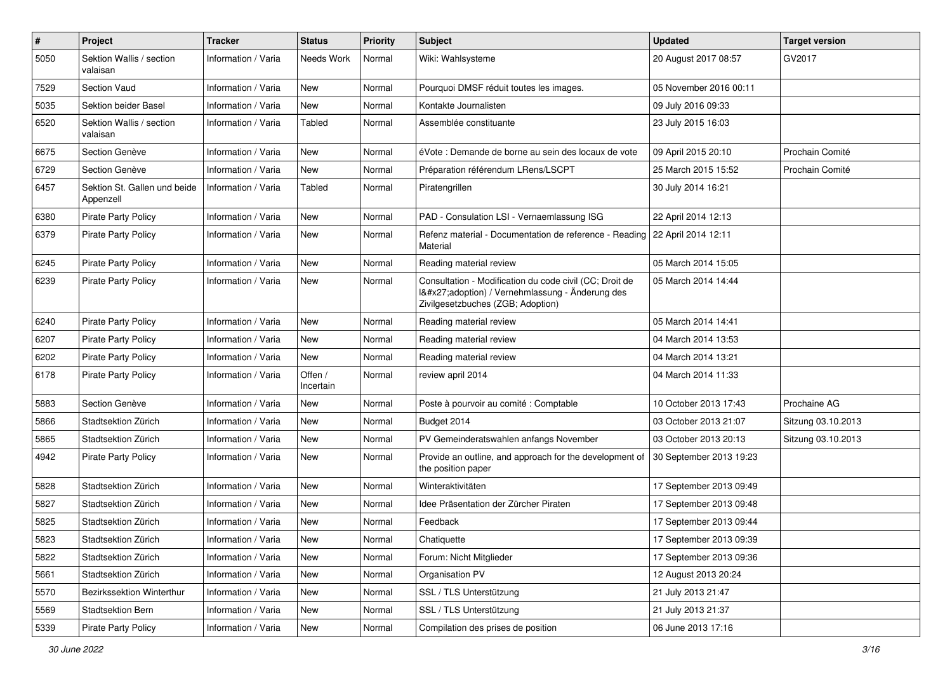| $\#$ | Project                                   | <b>Tracker</b>      | <b>Status</b>        | <b>Priority</b> | <b>Subject</b>                                                                                                                              | <b>Updated</b>          | <b>Target version</b> |
|------|-------------------------------------------|---------------------|----------------------|-----------------|---------------------------------------------------------------------------------------------------------------------------------------------|-------------------------|-----------------------|
| 5050 | Sektion Wallis / section<br>valaisan      | Information / Varia | Needs Work           | Normal          | Wiki: Wahlsysteme                                                                                                                           | 20 August 2017 08:57    | GV2017                |
| 7529 | Section Vaud                              | Information / Varia | New                  | Normal          | Pourquoi DMSF réduit toutes les images.                                                                                                     | 05 November 2016 00:11  |                       |
| 5035 | Sektion beider Basel                      | Information / Varia | New                  | Normal          | Kontakte Journalisten                                                                                                                       | 09 July 2016 09:33      |                       |
| 6520 | Sektion Wallis / section<br>valaisan      | Information / Varia | Tabled               | Normal          | Assemblée constituante                                                                                                                      | 23 July 2015 16:03      |                       |
| 6675 | Section Genève                            | Information / Varia | New                  | Normal          | éVote : Demande de borne au sein des locaux de vote                                                                                         | 09 April 2015 20:10     | Prochain Comité       |
| 6729 | Section Genève                            | Information / Varia | New                  | Normal          | Préparation référendum LRens/LSCPT                                                                                                          | 25 March 2015 15:52     | Prochain Comité       |
| 6457 | Sektion St. Gallen und beide<br>Appenzell | Information / Varia | Tabled               | Normal          | Piratengrillen                                                                                                                              | 30 July 2014 16:21      |                       |
| 6380 | Pirate Party Policy                       | Information / Varia | New                  | Normal          | PAD - Consulation LSI - Vernaemlassung ISG                                                                                                  | 22 April 2014 12:13     |                       |
| 6379 | <b>Pirate Party Policy</b>                | Information / Varia | New                  | Normal          | Refenz material - Documentation de reference - Reading   22 April 2014 12:11<br>Material                                                    |                         |                       |
| 6245 | <b>Pirate Party Policy</b>                | Information / Varia | New                  | Normal          | Reading material review                                                                                                                     | 05 March 2014 15:05     |                       |
| 6239 | <b>Pirate Party Policy</b>                | Information / Varia | New                  | Normal          | Consultation - Modification du code civil (CC; Droit de<br>I'adoption) / Vernehmlassung - Änderung des<br>Zivilgesetzbuches (ZGB; Adoption) | 05 March 2014 14:44     |                       |
| 6240 | Pirate Party Policy                       | Information / Varia | <b>New</b>           | Normal          | Reading material review                                                                                                                     | 05 March 2014 14:41     |                       |
| 6207 | <b>Pirate Party Policy</b>                | Information / Varia | New                  | Normal          | Reading material review                                                                                                                     | 04 March 2014 13:53     |                       |
| 6202 | <b>Pirate Party Policy</b>                | Information / Varia | New                  | Normal          | Reading material review                                                                                                                     | 04 March 2014 13:21     |                       |
| 6178 | <b>Pirate Party Policy</b>                | Information / Varia | Offen /<br>Incertain | Normal          | review april 2014                                                                                                                           | 04 March 2014 11:33     |                       |
| 5883 | Section Genève                            | Information / Varia | <b>New</b>           | Normal          | Poste à pourvoir au comité : Comptable                                                                                                      | 10 October 2013 17:43   | Prochaine AG          |
| 5866 | Stadtsektion Zürich                       | Information / Varia | New                  | Normal          | Budget 2014                                                                                                                                 | 03 October 2013 21:07   | Sitzung 03.10.2013    |
| 5865 | Stadtsektion Zürich                       | Information / Varia | New                  | Normal          | PV Gemeinderatswahlen anfangs November                                                                                                      | 03 October 2013 20:13   | Sitzung 03.10.2013    |
| 4942 | <b>Pirate Party Policy</b>                | Information / Varia | <b>New</b>           | Normal          | Provide an outline, and approach for the development of<br>the position paper                                                               | 30 September 2013 19:23 |                       |
| 5828 | Stadtsektion Zürich                       | Information / Varia | <b>New</b>           | Normal          | Winteraktivitäten                                                                                                                           | 17 September 2013 09:49 |                       |
| 5827 | Stadtsektion Zürich                       | Information / Varia | <b>New</b>           | Normal          | Idee Präsentation der Zürcher Piraten                                                                                                       | 17 September 2013 09:48 |                       |
| 5825 | Stadtsektion Zürich                       | Information / Varia | New                  | Normal          | Feedback                                                                                                                                    | 17 September 2013 09:44 |                       |
| 5823 | Stadtsektion Zürich                       | Information / Varia | New                  | Normal          | Chatiquette                                                                                                                                 | 17 September 2013 09:39 |                       |
| 5822 | Stadtsektion Zürich                       | Information / Varia | New                  | Normal          | Forum: Nicht Mitglieder                                                                                                                     | 17 September 2013 09:36 |                       |
| 5661 | Stadtsektion Zürich                       | Information / Varia | New                  | Normal          | Organisation PV                                                                                                                             | 12 August 2013 20:24    |                       |
| 5570 | Bezirkssektion Winterthur                 | Information / Varia | New                  | Normal          | SSL / TLS Unterstützung                                                                                                                     | 21 July 2013 21:47      |                       |
| 5569 | Stadtsektion Bern                         | Information / Varia | New                  | Normal          | SSL / TLS Unterstützung                                                                                                                     | 21 July 2013 21:37      |                       |
| 5339 | <b>Pirate Party Policy</b>                | Information / Varia | New                  | Normal          | Compilation des prises de position                                                                                                          | 06 June 2013 17:16      |                       |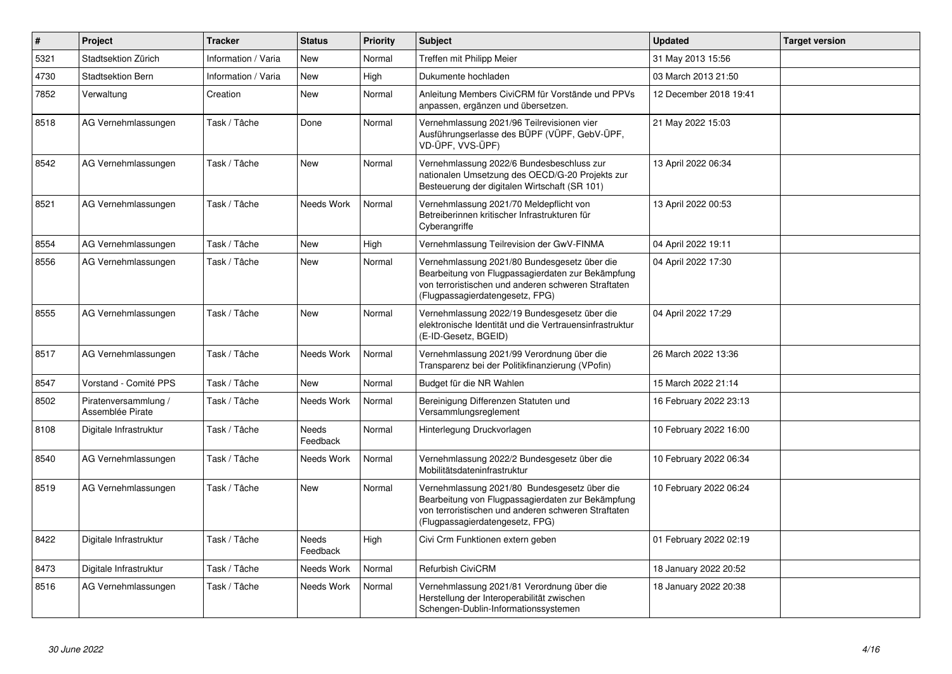| $\vert$ # | Project                                  | <b>Tracker</b>      | <b>Status</b>            | <b>Priority</b> | <b>Subject</b>                                                                                                                                                                              | <b>Updated</b>         | <b>Target version</b> |
|-----------|------------------------------------------|---------------------|--------------------------|-----------------|---------------------------------------------------------------------------------------------------------------------------------------------------------------------------------------------|------------------------|-----------------------|
| 5321      | Stadtsektion Zürich                      | Information / Varia | <b>New</b>               | Normal          | Treffen mit Philipp Meier                                                                                                                                                                   | 31 May 2013 15:56      |                       |
| 4730      | <b>Stadtsektion Bern</b>                 | Information / Varia | <b>New</b>               | High            | Dukumente hochladen                                                                                                                                                                         | 03 March 2013 21:50    |                       |
| 7852      | Verwaltung                               | Creation            | New                      | Normal          | Anleitung Members CiviCRM für Vorstände und PPVs<br>anpassen, ergänzen und übersetzen.                                                                                                      | 12 December 2018 19:41 |                       |
| 8518      | AG Vernehmlassungen                      | Task / Tâche        | Done                     | Normal          | Vernehmlassung 2021/96 Teilrevisionen vier<br>Ausführungserlasse des BÜPF (VÜPF, GebV-ÜPF,<br>VD-ÜPF, VVS-ÜPF)                                                                              | 21 May 2022 15:03      |                       |
| 8542      | AG Vernehmlassungen                      | Task / Tâche        | <b>New</b>               | Normal          | Vernehmlassung 2022/6 Bundesbeschluss zur<br>nationalen Umsetzung des OECD/G-20 Projekts zur<br>Besteuerung der digitalen Wirtschaft (SR 101)                                               | 13 April 2022 06:34    |                       |
| 8521      | AG Vernehmlassungen                      | Task / Tâche        | Needs Work               | Normal          | Vernehmlassung 2021/70 Meldepflicht von<br>Betreiberinnen kritischer Infrastrukturen für<br>Cyberangriffe                                                                                   | 13 April 2022 00:53    |                       |
| 8554      | AG Vernehmlassungen                      | Task / Tâche        | <b>New</b>               | High            | Vernehmlassung Teilrevision der GwV-FINMA                                                                                                                                                   | 04 April 2022 19:11    |                       |
| 8556      | AG Vernehmlassungen                      | Task / Tâche        | <b>New</b>               | Normal          | Vernehmlassung 2021/80 Bundesgesetz über die<br>Bearbeitung von Flugpassagierdaten zur Bekämpfung<br>von terroristischen und anderen schweren Straftaten<br>(Flugpassagierdatengesetz, FPG) | 04 April 2022 17:30    |                       |
| 8555      | AG Vernehmlassungen                      | Task / Tâche        | <b>New</b>               | Normal          | Vernehmlassung 2022/19 Bundesgesetz über die<br>elektronische Identität und die Vertrauensinfrastruktur<br>(E-ID-Gesetz, BGEID)                                                             | 04 April 2022 17:29    |                       |
| 8517      | AG Vernehmlassungen                      | Task / Tâche        | Needs Work               | Normal          | Vernehmlassung 2021/99 Verordnung über die<br>Transparenz bei der Politikfinanzierung (VPofin)                                                                                              | 26 March 2022 13:36    |                       |
| 8547      | Vorstand - Comité PPS                    | Task / Tâche        | <b>New</b>               | Normal          | Budget für die NR Wahlen                                                                                                                                                                    | 15 March 2022 21:14    |                       |
| 8502      | Piratenversammlung /<br>Assemblée Pirate | Task / Tâche        | Needs Work               | Normal          | Bereinigung Differenzen Statuten und<br>Versammlungsreglement                                                                                                                               | 16 February 2022 23:13 |                       |
| 8108      | Digitale Infrastruktur                   | Task / Tâche        | Needs<br>Feedback        | Normal          | Hinterlegung Druckvorlagen                                                                                                                                                                  | 10 February 2022 16:00 |                       |
| 8540      | AG Vernehmlassungen                      | Task / Tâche        | Needs Work               | Normal          | Vernehmlassung 2022/2 Bundesgesetz über die<br>Mobilitätsdateninfrastruktur                                                                                                                 | 10 February 2022 06:34 |                       |
| 8519      | AG Vernehmlassungen                      | Task / Tâche        | <b>New</b>               | Normal          | Vernehmlassung 2021/80 Bundesgesetz über die<br>Bearbeitung von Flugpassagierdaten zur Bekämpfung<br>von terroristischen und anderen schweren Straftaten<br>(Flugpassagierdatengesetz, FPG) | 10 February 2022 06:24 |                       |
| 8422      | Digitale Infrastruktur                   | Task / Tâche        | <b>Needs</b><br>Feedback | High            | Civi Crm Funktionen extern geben                                                                                                                                                            | 01 February 2022 02:19 |                       |
| 8473      | Digitale Infrastruktur                   | Task / Tâche        | Needs Work               | Normal          | <b>Refurbish CiviCRM</b>                                                                                                                                                                    | 18 January 2022 20:52  |                       |
| 8516      | AG Vernehmlassungen                      | Task / Tâche        | Needs Work               | Normal          | Vernehmlassung 2021/81 Verordnung über die<br>Herstellung der Interoperabilität zwischen<br>Schengen-Dublin-Informationssystemen                                                            | 18 January 2022 20:38  |                       |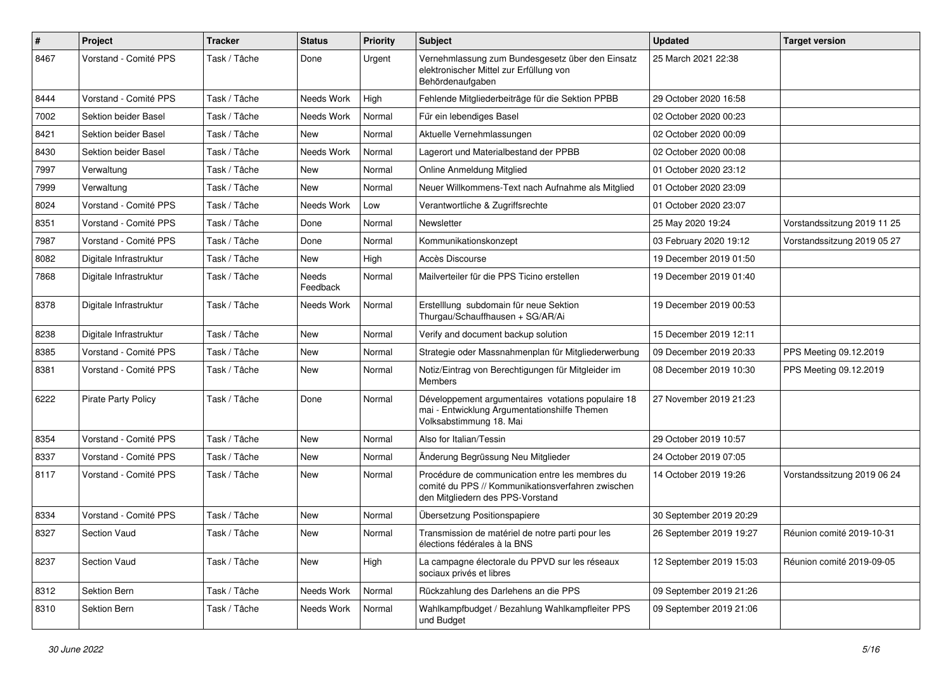| $\#$ | Project                    | <b>Tracker</b> | <b>Status</b>     | <b>Priority</b> | <b>Subject</b>                                                                                                                           | <b>Updated</b>          | <b>Target version</b>       |
|------|----------------------------|----------------|-------------------|-----------------|------------------------------------------------------------------------------------------------------------------------------------------|-------------------------|-----------------------------|
| 8467 | Vorstand - Comité PPS      | Task / Tâche   | Done              | Urgent          | Vernehmlassung zum Bundesgesetz über den Einsatz<br>elektronischer Mittel zur Erfüllung von<br>Behördenaufgaben                          | 25 March 2021 22:38     |                             |
| 8444 | Vorstand - Comité PPS      | Task / Tâche   | Needs Work        | High            | Fehlende Mitgliederbeiträge für die Sektion PPBB                                                                                         | 29 October 2020 16:58   |                             |
| 7002 | Sektion beider Basel       | Task / Tâche   | Needs Work        | Normal          | Für ein lebendiges Basel                                                                                                                 | 02 October 2020 00:23   |                             |
| 8421 | Sektion beider Basel       | Task / Tâche   | New               | Normal          | Aktuelle Vernehmlassungen                                                                                                                | 02 October 2020 00:09   |                             |
| 8430 | Sektion beider Basel       | Task / Tâche   | Needs Work        | Normal          | Lagerort und Materialbestand der PPBB                                                                                                    | 02 October 2020 00:08   |                             |
| 7997 | Verwaltung                 | Task / Tâche   | New               | Normal          | Online Anmeldung Mitglied                                                                                                                | 01 October 2020 23:12   |                             |
| 7999 | Verwaltung                 | Task / Tâche   | New               | Normal          | Neuer Willkommens-Text nach Aufnahme als Mitglied                                                                                        | 01 October 2020 23:09   |                             |
| 8024 | Vorstand - Comité PPS      | Task / Tâche   | Needs Work        | Low             | Verantwortliche & Zugriffsrechte                                                                                                         | 01 October 2020 23:07   |                             |
| 8351 | Vorstand - Comité PPS      | Task / Tâche   | Done              | Normal          | Newsletter                                                                                                                               | 25 May 2020 19:24       | Vorstandssitzung 2019 11 25 |
| 7987 | Vorstand - Comité PPS      | Task / Tâche   | Done              | Normal          | Kommunikationskonzept                                                                                                                    | 03 February 2020 19:12  | Vorstandssitzung 2019 05 27 |
| 8082 | Digitale Infrastruktur     | Task / Tâche   | New               | High            | Accès Discourse                                                                                                                          | 19 December 2019 01:50  |                             |
| 7868 | Digitale Infrastruktur     | Task / Tâche   | Needs<br>Feedback | Normal          | Mailverteiler für die PPS Ticino erstellen                                                                                               | 19 December 2019 01:40  |                             |
| 8378 | Digitale Infrastruktur     | Task / Tâche   | Needs Work        | Normal          | Erstelllung subdomain für neue Sektion<br>Thurgau/Schauffhausen + SG/AR/Ai                                                               | 19 December 2019 00:53  |                             |
| 8238 | Digitale Infrastruktur     | Task / Tâche   | New               | Normal          | Verify and document backup solution                                                                                                      | 15 December 2019 12:11  |                             |
| 8385 | Vorstand - Comité PPS      | Task / Tâche   | New               | Normal          | Strategie oder Massnahmenplan für Mitgliederwerbung                                                                                      | 09 December 2019 20:33  | PPS Meeting 09.12.2019      |
| 8381 | Vorstand - Comité PPS      | Task / Tâche   | New               | Normal          | Notiz/Eintrag von Berechtigungen für Mitgleider im<br><b>Members</b>                                                                     | 08 December 2019 10:30  | PPS Meeting 09.12.2019      |
| 6222 | <b>Pirate Party Policy</b> | Task / Tâche   | Done              | Normal          | Développement argumentaires votations populaire 18<br>mai - Entwicklung Argumentationshilfe Themen<br>Volksabstimmung 18. Mai            | 27 November 2019 21:23  |                             |
| 8354 | Vorstand - Comité PPS      | Task / Tâche   | <b>New</b>        | Normal          | Also for Italian/Tessin                                                                                                                  | 29 October 2019 10:57   |                             |
| 8337 | Vorstand - Comité PPS      | Task / Tâche   | <b>New</b>        | Normal          | Änderung Begrüssung Neu Mitglieder                                                                                                       | 24 October 2019 07:05   |                             |
| 8117 | Vorstand - Comité PPS      | Task / Tâche   | New               | Normal          | Procédure de communication entre les membres du<br>comité du PPS // Kommunikationsverfahren zwischen<br>den Mitgliedern des PPS-Vorstand | 14 October 2019 19:26   | Vorstandssitzung 2019 06 24 |
| 8334 | Vorstand - Comité PPS      | Task / Tâche   | New               | Normal          | Übersetzung Positionspapiere                                                                                                             | 30 September 2019 20:29 |                             |
| 8327 | <b>Section Vaud</b>        | Task / Tâche   | New               | Normal          | Transmission de matériel de notre parti pour les<br>élections fédérales à la BNS                                                         | 26 September 2019 19:27 | Réunion comité 2019-10-31   |
| 8237 | Section Vaud               | Task / Tâche   | New               | High            | La campagne électorale du PPVD sur les réseaux<br>sociaux privés et libres                                                               | 12 September 2019 15:03 | Réunion comité 2019-09-05   |
| 8312 | Sektion Bern               | Task / Tâche   | Needs Work        | Normal          | Rückzahlung des Darlehens an die PPS                                                                                                     | 09 September 2019 21:26 |                             |
| 8310 | Sektion Bern               | Task / Tâche   | Needs Work        | Normal          | Wahlkampfbudget / Bezahlung Wahlkampfleiter PPS<br>und Budget                                                                            | 09 September 2019 21:06 |                             |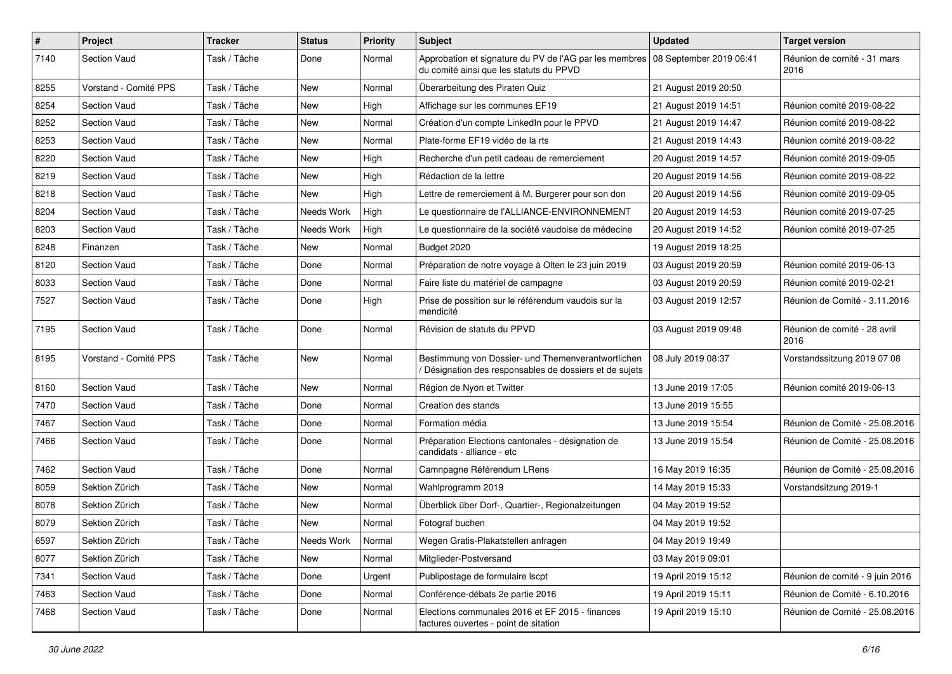| $\pmb{\#}$ | Project               | <b>Tracker</b> | <b>Status</b> | <b>Priority</b> | <b>Subject</b>                                                                                                            | <b>Updated</b>       | <b>Target version</b>                |
|------------|-----------------------|----------------|---------------|-----------------|---------------------------------------------------------------------------------------------------------------------------|----------------------|--------------------------------------|
| 7140       | <b>Section Vaud</b>   | Task / Tâche   | Done          | Normal          | Approbation et signature du PV de l'AG par les membres 08 September 2019 06:41<br>du comité ainsi que les statuts du PPVD |                      | Réunion de comité - 31 mars<br>2016  |
| 8255       | Vorstand - Comité PPS | Task / Tâche   | <b>New</b>    | Normal          | Überarbeitung des Piraten Quiz                                                                                            | 21 August 2019 20:50 |                                      |
| 8254       | <b>Section Vaud</b>   | Task / Tâche   | New           | High            | Affichage sur les communes EF19                                                                                           | 21 August 2019 14:51 | Réunion comité 2019-08-22            |
| 8252       | <b>Section Vaud</b>   | Task / Tâche   | <b>New</b>    | Normal          | Création d'un compte LinkedIn pour le PPVD                                                                                | 21 August 2019 14:47 | Réunion comité 2019-08-22            |
| 8253       | Section Vaud          | Task / Tâche   | New           | Normal          | Plate-forme EF19 vidéo de la rts                                                                                          | 21 August 2019 14:43 | Réunion comité 2019-08-22            |
| 8220       | <b>Section Vaud</b>   | Task / Tâche   | <b>New</b>    | High            | Recherche d'un petit cadeau de remerciement                                                                               | 20 August 2019 14:57 | Réunion comité 2019-09-05            |
| 8219       | <b>Section Vaud</b>   | Task / Tâche   | New           | High            | Rédaction de la lettre                                                                                                    | 20 August 2019 14:56 | Réunion comité 2019-08-22            |
| 8218       | <b>Section Vaud</b>   | Task / Tâche   | New           | High            | Lettre de remerciement à M. Burgerer pour son don                                                                         | 20 August 2019 14:56 | Réunion comité 2019-09-05            |
| 8204       | <b>Section Vaud</b>   | Task / Tâche   | Needs Work    | High            | Le questionnaire de l'ALLIANCE-ENVIRONNEMENT                                                                              | 20 August 2019 14:53 | Réunion comité 2019-07-25            |
| 8203       | <b>Section Vaud</b>   | Task / Tâche   | Needs Work    | High            | Le questionnaire de la société vaudoise de médecine                                                                       | 20 August 2019 14:52 | Réunion comité 2019-07-25            |
| 8248       | Finanzen              | Task / Tâche   | New           | Normal          | Budget 2020                                                                                                               | 19 August 2019 18:25 |                                      |
| 8120       | Section Vaud          | Task / Tâche   | Done          | Normal          | Préparation de notre voyage à Olten le 23 juin 2019                                                                       | 03 August 2019 20:59 | Réunion comité 2019-06-13            |
| 8033       | <b>Section Vaud</b>   | Task / Tâche   | Done          | Normal          | Faire liste du matériel de campagne                                                                                       | 03 August 2019 20:59 | Réunion comité 2019-02-21            |
| 7527       | <b>Section Vaud</b>   | Task / Tâche   | Done          | High            | Prise de possition sur le référendum vaudois sur la<br>mendicité                                                          | 03 August 2019 12:57 | Réunion de Comité - 3.11.2016        |
| 7195       | Section Vaud          | Task / Tâche   | Done          | Normal          | Révision de statuts du PPVD                                                                                               | 03 August 2019 09:48 | Réunion de comité - 28 avril<br>2016 |
| 8195       | Vorstand - Comité PPS | Task / Tâche   | <b>New</b>    | Normal          | Bestimmung von Dossier- und Themenverantwortlichen<br>Désignation des responsables de dossiers et de sujets               | 08 July 2019 08:37   | Vorstandssitzung 2019 07 08          |
| 8160       | <b>Section Vaud</b>   | Task / Tâche   | New           | Normal          | Région de Nyon et Twitter                                                                                                 | 13 June 2019 17:05   | Réunion comité 2019-06-13            |
| 7470       | <b>Section Vaud</b>   | Task / Tâche   | Done          | Normal          | Creation des stands                                                                                                       | 13 June 2019 15:55   |                                      |
| 7467       | <b>Section Vaud</b>   | Task / Tâche   | Done          | Normal          | Formation média                                                                                                           | 13 June 2019 15:54   | Réunion de Comité - 25.08.2016       |
| 7466       | <b>Section Vaud</b>   | Task / Tâche   | Done          | Normal          | Préparation Elections cantonales - désignation de<br>candidats - alliance - etc                                           | 13 June 2019 15:54   | Réunion de Comité - 25.08.2016       |
| 7462       | <b>Section Vaud</b>   | Task / Tâche   | Done          | Normal          | Camnpagne Référendum LRens                                                                                                | 16 May 2019 16:35    | Réunion de Comité - 25.08.2016       |
| 8059       | Sektion Zürich        | Task / Tâche   | <b>New</b>    | Normal          | Wahlprogramm 2019                                                                                                         | 14 May 2019 15:33    | Vorstandsitzung 2019-1               |
| 8078       | Sektion Zürich        | Task / Tâche   | New           | Normal          | Überblick über Dorf-, Quartier-, Regionalzeitungen                                                                        | 04 May 2019 19:52    |                                      |
| 8079       | Sektion Zürich        | Task / Tâche   | <b>New</b>    | Normal          | Fotograf buchen                                                                                                           | 04 May 2019 19:52    |                                      |
| 6597       | Sektion Zürich        | Task / Tâche   | Needs Work    | Normal          | Wegen Gratis-Plakatstellen anfragen                                                                                       | 04 May 2019 19:49    |                                      |
| 8077       | Sektion Zürich        | Task / Tâche   | New           | Normal          | Mitglieder-Postversand                                                                                                    | 03 May 2019 09:01    |                                      |
| 7341       | Section Vaud          | Task / Tâche   | Done          | Urgent          | Publipostage de formulaire Iscpt                                                                                          | 19 April 2019 15:12  | Réunion de comité - 9 juin 2016      |
| 7463       | Section Vaud          | Task / Tâche   | Done          | Normal          | Conférence-débats 2e partie 2016                                                                                          | 19 April 2019 15:11  | Réunion de Comité - 6.10.2016        |
| 7468       | Section Vaud          | Task / Tâche   | Done          | Normal          | Elections communales 2016 et EF 2015 - finances<br>factures ouvertes - point de sitation                                  | 19 April 2019 15:10  | Réunion de Comité - 25.08.2016       |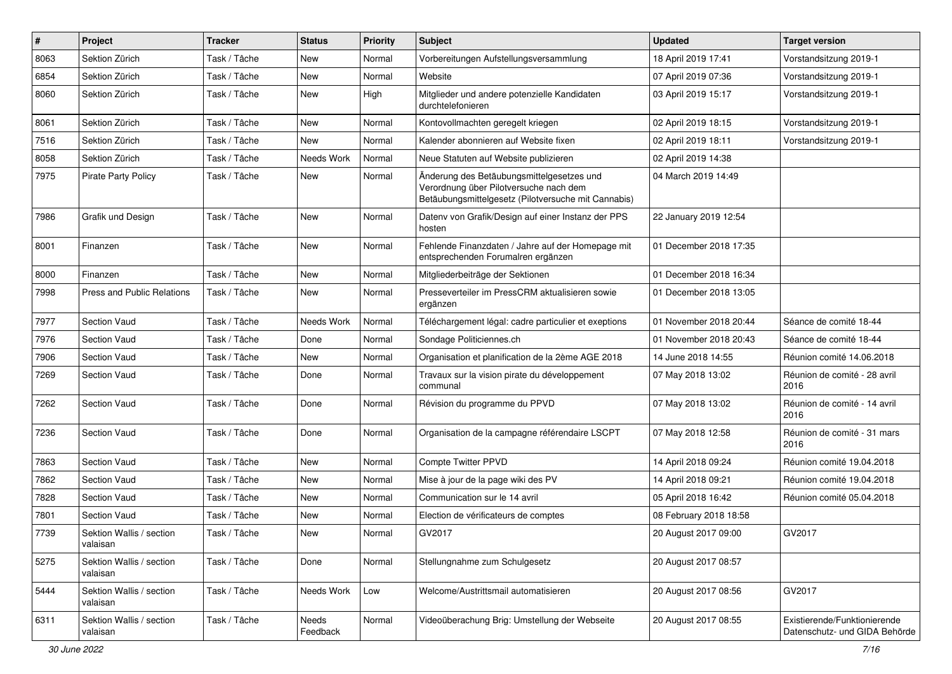| $\sharp$ | Project                              | <b>Tracker</b> | <b>Status</b>     | <b>Priority</b> | Subject                                                                                                                                    | <b>Updated</b>         | <b>Target version</b>                                         |
|----------|--------------------------------------|----------------|-------------------|-----------------|--------------------------------------------------------------------------------------------------------------------------------------------|------------------------|---------------------------------------------------------------|
| 8063     | Sektion Zürich                       | Task / Tâche   | New               | Normal          | Vorbereitungen Aufstellungsversammlung                                                                                                     | 18 April 2019 17:41    | Vorstandsitzung 2019-1                                        |
| 6854     | Sektion Zürich                       | Task / Tâche   | <b>New</b>        | Normal          | Website                                                                                                                                    | 07 April 2019 07:36    | Vorstandsitzung 2019-1                                        |
| 8060     | Sektion Zürich                       | Task / Tâche   | New               | High            | Mitglieder und andere potenzielle Kandidaten<br>durchtelefonieren                                                                          | 03 April 2019 15:17    | Vorstandsitzung 2019-1                                        |
| 8061     | Sektion Zürich                       | Task / Tâche   | <b>New</b>        | Normal          | Kontovollmachten geregelt kriegen                                                                                                          | 02 April 2019 18:15    | Vorstandsitzung 2019-1                                        |
| 7516     | Sektion Zürich                       | Task / Tâche   | New               | Normal          | Kalender abonnieren auf Website fixen                                                                                                      | 02 April 2019 18:11    | Vorstandsitzung 2019-1                                        |
| 8058     | Sektion Zürich                       | Task / Tâche   | Needs Work        | Normal          | Neue Statuten auf Website publizieren                                                                                                      | 02 April 2019 14:38    |                                                               |
| 7975     | <b>Pirate Party Policy</b>           | Task / Tâche   | New               | Normal          | Änderung des Betäubungsmittelgesetzes und<br>Verordnung über Pilotversuche nach dem<br>Betäubungsmittelgesetz (Pilotversuche mit Cannabis) | 04 March 2019 14:49    |                                                               |
| 7986     | Grafik und Design                    | Task / Tâche   | <b>New</b>        | Normal          | Datenv von Grafik/Design auf einer Instanz der PPS<br>hosten                                                                               | 22 January 2019 12:54  |                                                               |
| 8001     | Finanzen                             | Task / Tâche   | <b>New</b>        | Normal          | Fehlende Finanzdaten / Jahre auf der Homepage mit<br>entsprechenden Forumalren ergänzen                                                    | 01 December 2018 17:35 |                                                               |
| 8000     | Finanzen                             | Task / Tâche   | New               | Normal          | Mitgliederbeiträge der Sektionen                                                                                                           | 01 December 2018 16:34 |                                                               |
| 7998     | <b>Press and Public Relations</b>    | Task / Tâche   | <b>New</b>        | Normal          | Presseverteiler im PressCRM aktualisieren sowie<br>ergänzen                                                                                | 01 December 2018 13:05 |                                                               |
| 7977     | <b>Section Vaud</b>                  | Task / Tâche   | Needs Work        | Normal          | Téléchargement légal: cadre particulier et exeptions                                                                                       | 01 November 2018 20:44 | Séance de comité 18-44                                        |
| 7976     | <b>Section Vaud</b>                  | Task / Tâche   | Done              | Normal          | Sondage Politiciennes.ch                                                                                                                   | 01 November 2018 20:43 | Séance de comité 18-44                                        |
| 7906     | <b>Section Vaud</b>                  | Task / Tâche   | <b>New</b>        | Normal          | Organisation et planification de la 2ème AGE 2018                                                                                          | 14 June 2018 14:55     | Réunion comité 14.06.2018                                     |
| 7269     | <b>Section Vaud</b>                  | Task / Tâche   | Done              | Normal          | Travaux sur la vision pirate du développement<br>communal                                                                                  | 07 May 2018 13:02      | Réunion de comité - 28 avril<br>2016                          |
| 7262     | <b>Section Vaud</b>                  | Task / Tâche   | Done              | Normal          | Révision du programme du PPVD                                                                                                              | 07 May 2018 13:02      | Réunion de comité - 14 avril<br>2016                          |
| 7236     | <b>Section Vaud</b>                  | Task / Tâche   | Done              | Normal          | Organisation de la campagne référendaire LSCPT                                                                                             | 07 May 2018 12:58      | Réunion de comité - 31 mars<br>2016                           |
| 7863     | Section Vaud                         | Task / Tâche   | <b>New</b>        | Normal          | Compte Twitter PPVD                                                                                                                        | 14 April 2018 09:24    | Réunion comité 19.04.2018                                     |
| 7862     | <b>Section Vaud</b>                  | Task / Tâche   | New               | Normal          | Mise à jour de la page wiki des PV                                                                                                         | 14 April 2018 09:21    | Réunion comité 19.04.2018                                     |
| 7828     | <b>Section Vaud</b>                  | Task / Tâche   | New               | Normal          | Communication sur le 14 avril                                                                                                              | 05 April 2018 16:42    | Réunion comité 05.04.2018                                     |
| 7801     | <b>Section Vaud</b>                  | Task / Tâche   | New               | Normal          | Election de vérificateurs de comptes                                                                                                       | 08 February 2018 18:58 |                                                               |
| 7739     | Sektion Wallis / section<br>valaisan | Task / Tâche   | <b>New</b>        | Normal          | GV2017                                                                                                                                     | 20 August 2017 09:00   | GV2017                                                        |
| 5275     | Sektion Wallis / section<br>valaisan | Task / Tâche   | Done              | Normal          | Stellungnahme zum Schulgesetz                                                                                                              | 20 August 2017 08:57   |                                                               |
| 5444     | Sektion Wallis / section<br>valaisan | Task / Tâche   | Needs Work        | Low             | Welcome/Austrittsmail automatisieren                                                                                                       | 20 August 2017 08:56   | GV2017                                                        |
| 6311     | Sektion Wallis / section<br>valaisan | Task / Tâche   | Needs<br>Feedback | Normal          | Videoüberachung Brig: Umstellung der Webseite                                                                                              | 20 August 2017 08:55   | Existierende/Funktionierende<br>Datenschutz- und GIDA Behörde |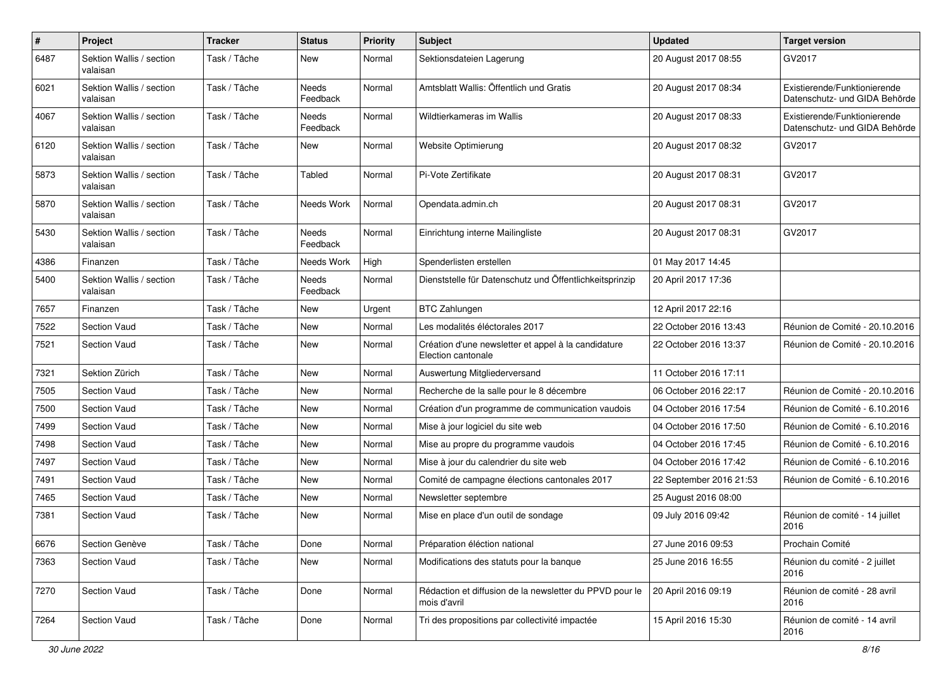| $\#$ | Project                              | <b>Tracker</b> | <b>Status</b>            | <b>Priority</b> | <b>Subject</b>                                                            | <b>Updated</b>          | <b>Target version</b>                                         |
|------|--------------------------------------|----------------|--------------------------|-----------------|---------------------------------------------------------------------------|-------------------------|---------------------------------------------------------------|
| 6487 | Sektion Wallis / section<br>valaisan | Task / Tâche   | New                      | Normal          | Sektionsdateien Lagerung                                                  | 20 August 2017 08:55    | GV2017                                                        |
| 6021 | Sektion Wallis / section<br>valaisan | Task / Tâche   | Needs<br>Feedback        | Normal          | Amtsblatt Wallis: Öffentlich und Gratis                                   | 20 August 2017 08:34    | Existierende/Funktionierende<br>Datenschutz- und GIDA Behörde |
| 4067 | Sektion Wallis / section<br>valaisan | Task / Tâche   | <b>Needs</b><br>Feedback | Normal          | Wildtierkameras im Wallis                                                 | 20 August 2017 08:33    | Existierende/Funktionierende<br>Datenschutz- und GIDA Behörde |
| 6120 | Sektion Wallis / section<br>valaisan | Task / Tâche   | <b>New</b>               | Normal          | Website Optimierung                                                       | 20 August 2017 08:32    | GV2017                                                        |
| 5873 | Sektion Wallis / section<br>valaisan | Task / Tâche   | Tabled                   | Normal          | Pi-Vote Zertifikate                                                       | 20 August 2017 08:31    | GV2017                                                        |
| 5870 | Sektion Wallis / section<br>valaisan | Task / Tâche   | Needs Work               | Normal          | Opendata.admin.ch                                                         | 20 August 2017 08:31    | GV2017                                                        |
| 5430 | Sektion Wallis / section<br>valaisan | Task / Tâche   | Needs<br>Feedback        | Normal          | Einrichtung interne Mailingliste                                          | 20 August 2017 08:31    | GV2017                                                        |
| 4386 | Finanzen                             | Task / Tâche   | Needs Work               | High            | Spenderlisten erstellen                                                   | 01 May 2017 14:45       |                                                               |
| 5400 | Sektion Wallis / section<br>valaisan | Task / Tâche   | Needs<br>Feedback        | Normal          | Dienststelle für Datenschutz und Öffentlichkeitsprinzip                   | 20 April 2017 17:36     |                                                               |
| 7657 | Finanzen                             | Task / Tâche   | <b>New</b>               | Urgent          | <b>BTC Zahlungen</b>                                                      | 12 April 2017 22:16     |                                                               |
| 7522 | Section Vaud                         | Task / Tâche   | New                      | Normal          | Les modalités éléctorales 2017                                            | 22 October 2016 13:43   | Réunion de Comité - 20.10.2016                                |
| 7521 | <b>Section Vaud</b>                  | Task / Tâche   | New                      | Normal          | Création d'une newsletter et appel à la candidature<br>Election cantonale | 22 October 2016 13:37   | Réunion de Comité - 20.10.2016                                |
| 7321 | Sektion Zürich                       | Task / Tâche   | New                      | Normal          | Auswertung Mitgliederversand                                              | 11 October 2016 17:11   |                                                               |
| 7505 | Section Vaud                         | Task / Tâche   | <b>New</b>               | Normal          | Recherche de la salle pour le 8 décembre                                  | 06 October 2016 22:17   | Réunion de Comité - 20.10.2016                                |
| 7500 | Section Vaud                         | Task / Tâche   | <b>New</b>               | Normal          | Création d'un programme de communication vaudois                          | 04 October 2016 17:54   | Réunion de Comité - 6.10.2016                                 |
| 7499 | Section Vaud                         | Task / Tâche   | <b>New</b>               | Normal          | Mise à jour logiciel du site web                                          | 04 October 2016 17:50   | Réunion de Comité - 6.10.2016                                 |
| 7498 | <b>Section Vaud</b>                  | Task / Tâche   | <b>New</b>               | Normal          | Mise au propre du programme vaudois                                       | 04 October 2016 17:45   | Réunion de Comité - 6.10.2016                                 |
| 7497 | Section Vaud                         | Task / Tâche   | <b>New</b>               | Normal          | Mise à jour du calendrier du site web                                     | 04 October 2016 17:42   | Réunion de Comité - 6.10.2016                                 |
| 7491 | <b>Section Vaud</b>                  | Task / Tâche   | <b>New</b>               | Normal          | Comité de campagne élections cantonales 2017                              | 22 September 2016 21:53 | Réunion de Comité - 6.10.2016                                 |
| 7465 | <b>Section Vaud</b>                  | Task / Tâche   | New                      | Normal          | Newsletter septembre                                                      | 25 August 2016 08:00    |                                                               |
| 7381 | <b>Section Vaud</b>                  | Task / Tâche   | New                      | Normal          | Mise en place d'un outil de sondage                                       | 09 July 2016 09:42      | Réunion de comité - 14 juillet<br>2016                        |
| 6676 | Section Genève                       | Task / Tâche   | Done                     | Normal          | Préparation éléction national                                             | 27 June 2016 09:53      | Prochain Comité                                               |
| 7363 | Section Vaud                         | Task / Tâche   | New                      | Normal          | Modifications des statuts pour la banque                                  | 25 June 2016 16:55      | Réunion du comité - 2 juillet<br>2016                         |
| 7270 | Section Vaud                         | Task / Tâche   | Done                     | Normal          | Rédaction et diffusion de la newsletter du PPVD pour le<br>mois d'avril   | 20 April 2016 09:19     | Réunion de comité - 28 avril<br>2016                          |
| 7264 | Section Vaud                         | Task / Tâche   | Done                     | Normal          | Tri des propositions par collectivité impactée                            | 15 April 2016 15:30     | Réunion de comité - 14 avril<br>2016                          |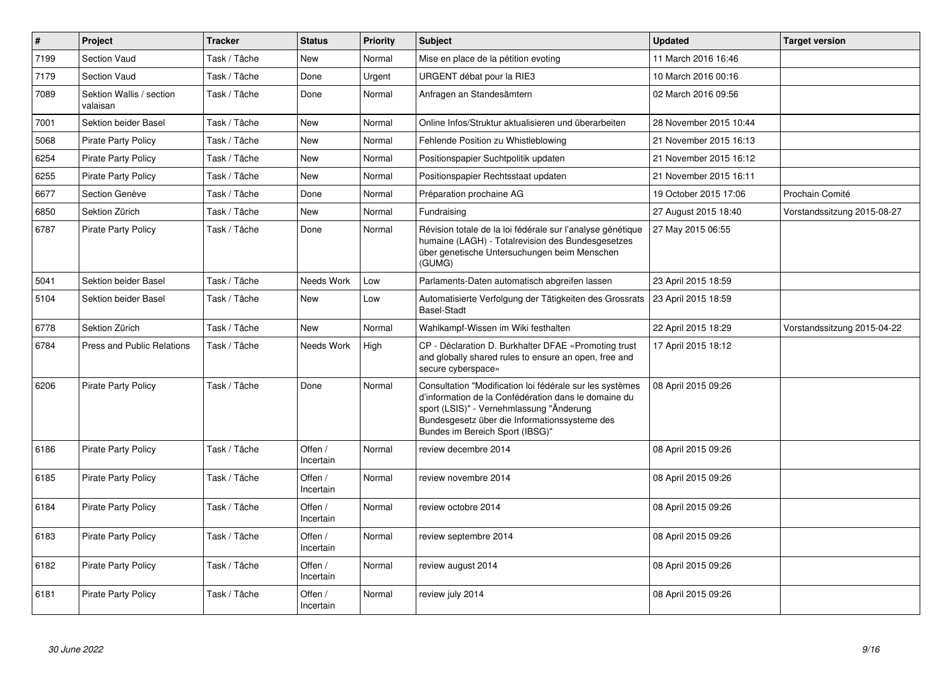| $\vert$ # | Project                              | <b>Tracker</b> | <b>Status</b>        | <b>Priority</b> | <b>Subject</b>                                                                                                                                                                                                                                   | <b>Updated</b>         | <b>Target version</b>       |
|-----------|--------------------------------------|----------------|----------------------|-----------------|--------------------------------------------------------------------------------------------------------------------------------------------------------------------------------------------------------------------------------------------------|------------------------|-----------------------------|
| 7199      | <b>Section Vaud</b>                  | Task / Tâche   | <b>New</b>           | Normal          | Mise en place de la pétition evoting                                                                                                                                                                                                             | 11 March 2016 16:46    |                             |
| 7179      | <b>Section Vaud</b>                  | Task / Tâche   | Done                 | Urgent          | URGENT débat pour la RIE3                                                                                                                                                                                                                        | 10 March 2016 00:16    |                             |
| 7089      | Sektion Wallis / section<br>valaisan | Task / Tâche   | Done                 | Normal          | Anfragen an Standesämtern                                                                                                                                                                                                                        | 02 March 2016 09:56    |                             |
| 7001      | Sektion beider Basel                 | Task / Tâche   | <b>New</b>           | Normal          | Online Infos/Struktur aktualisieren und überarbeiten                                                                                                                                                                                             | 28 November 2015 10:44 |                             |
| 5068      | <b>Pirate Party Policy</b>           | Task / Tâche   | <b>New</b>           | Normal          | Fehlende Position zu Whistleblowing                                                                                                                                                                                                              | 21 November 2015 16:13 |                             |
| 6254      | <b>Pirate Party Policy</b>           | Task / Tâche   | <b>New</b>           | Normal          | Positionspapier Suchtpolitik updaten                                                                                                                                                                                                             | 21 November 2015 16:12 |                             |
| 6255      | <b>Pirate Party Policy</b>           | Task / Tâche   | <b>New</b>           | Normal          | Positionspapier Rechtsstaat updaten                                                                                                                                                                                                              | 21 November 2015 16:11 |                             |
| 6677      | Section Genève                       | Task / Tâche   | Done                 | Normal          | Préparation prochaine AG                                                                                                                                                                                                                         | 19 October 2015 17:06  | Prochain Comité             |
| 6850      | Sektion Zürich                       | Task / Tâche   | New                  | Normal          | Fundraising                                                                                                                                                                                                                                      | 27 August 2015 18:40   | Vorstandssitzung 2015-08-27 |
| 6787      | <b>Pirate Party Policy</b>           | Task / Tâche   | Done                 | Normal          | Révision totale de la loi fédérale sur l'analyse génétique<br>humaine (LAGH) - Totalrevision des Bundesgesetzes<br>über genetische Untersuchungen beim Menschen<br>(GUMG)                                                                        | 27 May 2015 06:55      |                             |
| 5041      | Sektion beider Basel                 | Task / Tâche   | Needs Work           | Low             | Parlaments-Daten automatisch abgreifen lassen                                                                                                                                                                                                    | 23 April 2015 18:59    |                             |
| 5104      | Sektion beider Basel                 | Task / Tâche   | <b>New</b>           | Low             | Automatisierte Verfolgung der Tätigkeiten des Grossrats<br><b>Basel-Stadt</b>                                                                                                                                                                    | 23 April 2015 18:59    |                             |
| 6778      | Sektion Zürich                       | Task / Tâche   | New                  | Normal          | Wahlkampf-Wissen im Wiki festhalten                                                                                                                                                                                                              | 22 April 2015 18:29    | Vorstandssitzung 2015-04-22 |
| 6784      | <b>Press and Public Relations</b>    | Task / Tâche   | Needs Work           | High            | CP - Déclaration D. Burkhalter DFAE «Promoting trust<br>and globally shared rules to ensure an open, free and<br>secure cyberspace»                                                                                                              | 17 April 2015 18:12    |                             |
| 6206      | <b>Pirate Party Policy</b>           | Task / Tâche   | Done                 | Normal          | Consultation "Modification loi fédérale sur les systèmes<br>d'information de la Confédération dans le domaine du<br>sport (LSIS)" - Vernehmlassung "Änderung<br>Bundesgesetz über die Informationssysteme des<br>Bundes im Bereich Sport (IBSG)" | 08 April 2015 09:26    |                             |
| 6186      | <b>Pirate Party Policy</b>           | Task / Tâche   | Offen /<br>Incertain | Normal          | review decembre 2014                                                                                                                                                                                                                             | 08 April 2015 09:26    |                             |
| 6185      | <b>Pirate Party Policy</b>           | Task / Tâche   | Offen /<br>Incertain | Normal          | review novembre 2014                                                                                                                                                                                                                             | 08 April 2015 09:26    |                             |
| 6184      | <b>Pirate Party Policy</b>           | Task / Tâche   | Offen /<br>Incertain | Normal          | review octobre 2014                                                                                                                                                                                                                              | 08 April 2015 09:26    |                             |
| 6183      | <b>Pirate Party Policy</b>           | Task / Tâche   | Offen /<br>Incertain | Normal          | review septembre 2014                                                                                                                                                                                                                            | 08 April 2015 09:26    |                             |
| 6182      | <b>Pirate Party Policy</b>           | Task / Tâche   | Offen /<br>Incertain | Normal          | review august 2014                                                                                                                                                                                                                               | 08 April 2015 09:26    |                             |
| 6181      | <b>Pirate Party Policy</b>           | Task / Tâche   | Offen /<br>Incertain | Normal          | review july 2014                                                                                                                                                                                                                                 | 08 April 2015 09:26    |                             |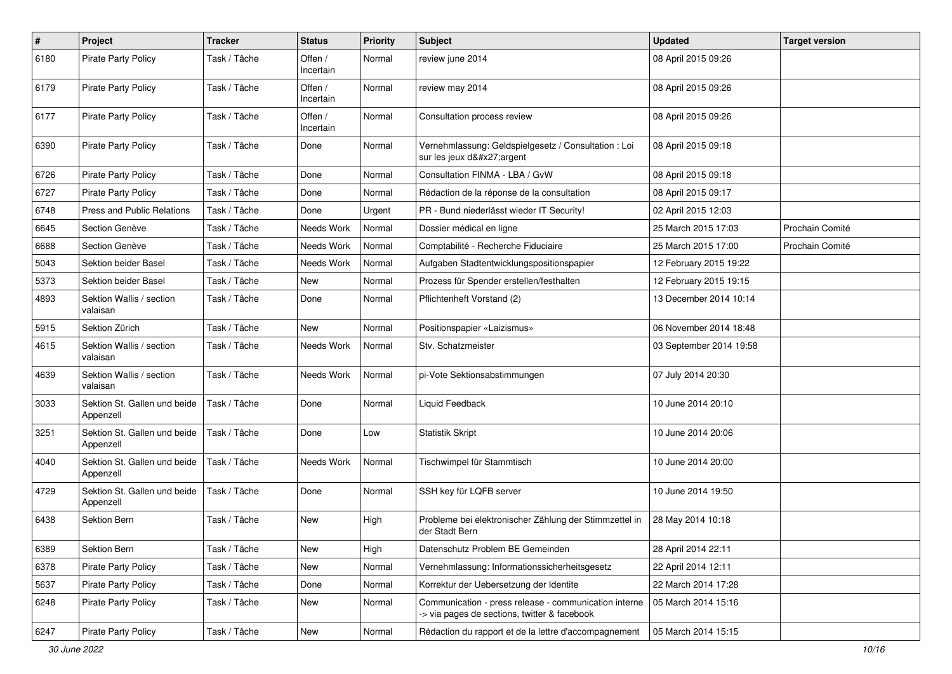| $\#$ | Project                                   | <b>Tracker</b> | <b>Status</b>        | <b>Priority</b> | <b>Subject</b>                                                                                        | <b>Updated</b>          | <b>Target version</b> |
|------|-------------------------------------------|----------------|----------------------|-----------------|-------------------------------------------------------------------------------------------------------|-------------------------|-----------------------|
| 6180 | <b>Pirate Party Policy</b>                | Task / Tâche   | Offen /<br>Incertain | Normal          | review june 2014                                                                                      | 08 April 2015 09:26     |                       |
| 6179 | <b>Pirate Party Policy</b>                | Task / Tâche   | Offen /<br>Incertain | Normal          | review may 2014                                                                                       | 08 April 2015 09:26     |                       |
| 6177 | <b>Pirate Party Policy</b>                | Task / Tâche   | Offen /<br>Incertain | Normal          | Consultation process review                                                                           | 08 April 2015 09:26     |                       |
| 6390 | <b>Pirate Party Policy</b>                | Task / Tâche   | Done                 | Normal          | Vernehmlassung: Geldspielgesetz / Consultation : Loi<br>sur les jeux d'argent                         | 08 April 2015 09:18     |                       |
| 6726 | <b>Pirate Party Policy</b>                | Task / Tâche   | Done                 | Normal          | Consultation FINMA - LBA / GvW                                                                        | 08 April 2015 09:18     |                       |
| 6727 | <b>Pirate Party Policy</b>                | Task / Tâche   | Done                 | Normal          | Rédaction de la réponse de la consultation                                                            | 08 April 2015 09:17     |                       |
| 6748 | Press and Public Relations                | Task / Tâche   | Done                 | Urgent          | PR - Bund niederlässt wieder IT Security!                                                             | 02 April 2015 12:03     |                       |
| 6645 | Section Genève                            | Task / Tâche   | Needs Work           | Normal          | Dossier médical en ligne                                                                              | 25 March 2015 17:03     | Prochain Comité       |
| 6688 | Section Genève                            | Task / Tâche   | Needs Work           | Normal          | Comptabilité - Recherche Fiduciaire                                                                   | 25 March 2015 17:00     | Prochain Comité       |
| 5043 | Sektion beider Basel                      | Task / Tâche   | Needs Work           | Normal          | Aufgaben Stadtentwicklungspositionspapier                                                             | 12 February 2015 19:22  |                       |
| 5373 | Sektion beider Basel                      | Task / Tâche   | <b>New</b>           | Normal          | Prozess für Spender erstellen/festhalten                                                              | 12 February 2015 19:15  |                       |
| 4893 | Sektion Wallis / section<br>valaisan      | Task / Tâche   | Done                 | Normal          | Pflichtenheft Vorstand (2)                                                                            | 13 December 2014 10:14  |                       |
| 5915 | Sektion Zürich                            | Task / Tâche   | <b>New</b>           | Normal          | Positionspapier «Laizismus»                                                                           | 06 November 2014 18:48  |                       |
| 4615 | Sektion Wallis / section<br>valaisan      | Task / Tâche   | Needs Work           | Normal          | Stv. Schatzmeister                                                                                    | 03 September 2014 19:58 |                       |
| 4639 | Sektion Wallis / section<br>valaisan      | Task / Tâche   | Needs Work           | Normal          | pi-Vote Sektionsabstimmungen                                                                          | 07 July 2014 20:30      |                       |
| 3033 | Sektion St. Gallen und beide<br>Appenzell | Task / Tâche   | Done                 | Normal          | Liquid Feedback                                                                                       | 10 June 2014 20:10      |                       |
| 3251 | Sektion St. Gallen und beide<br>Appenzell | Task / Tâche   | Done                 | Low             | <b>Statistik Skript</b>                                                                               | 10 June 2014 20:06      |                       |
| 4040 | Sektion St. Gallen und beide<br>Appenzell | Task / Tâche   | Needs Work           | Normal          | Tischwimpel für Stammtisch                                                                            | 10 June 2014 20:00      |                       |
| 4729 | Sektion St. Gallen und beide<br>Appenzell | Task / Tâche   | Done                 | Normal          | SSH key für LQFB server                                                                               | 10 June 2014 19:50      |                       |
| 6438 | <b>Sektion Bern</b>                       | Task / Tâche   | New                  | High            | Probleme bei elektronischer Zählung der Stimmzettel in<br>der Stadt Bern                              | 28 May 2014 10:18       |                       |
| 6389 | Sektion Bern                              | Task / Tâche   | New                  | High            | Datenschutz Problem BE Gemeinden                                                                      | 28 April 2014 22:11     |                       |
| 6378 | Pirate Party Policy                       | Task / Tâche   | New                  | Normal          | Vernehmlassung: Informationssicherheitsgesetz                                                         | 22 April 2014 12:11     |                       |
| 5637 | <b>Pirate Party Policy</b>                | Task / Tâche   | Done                 | Normal          | Korrektur der Uebersetzung der Identite                                                               | 22 March 2014 17:28     |                       |
| 6248 | <b>Pirate Party Policy</b>                | Task / Tâche   | New                  | Normal          | Communication - press release - communication interne<br>-> via pages de sections, twitter & facebook | 05 March 2014 15:16     |                       |
| 6247 | Pirate Party Policy                       | Task / Tâche   | New                  | Normal          | Rédaction du rapport et de la lettre d'accompagnement                                                 | 05 March 2014 15:15     |                       |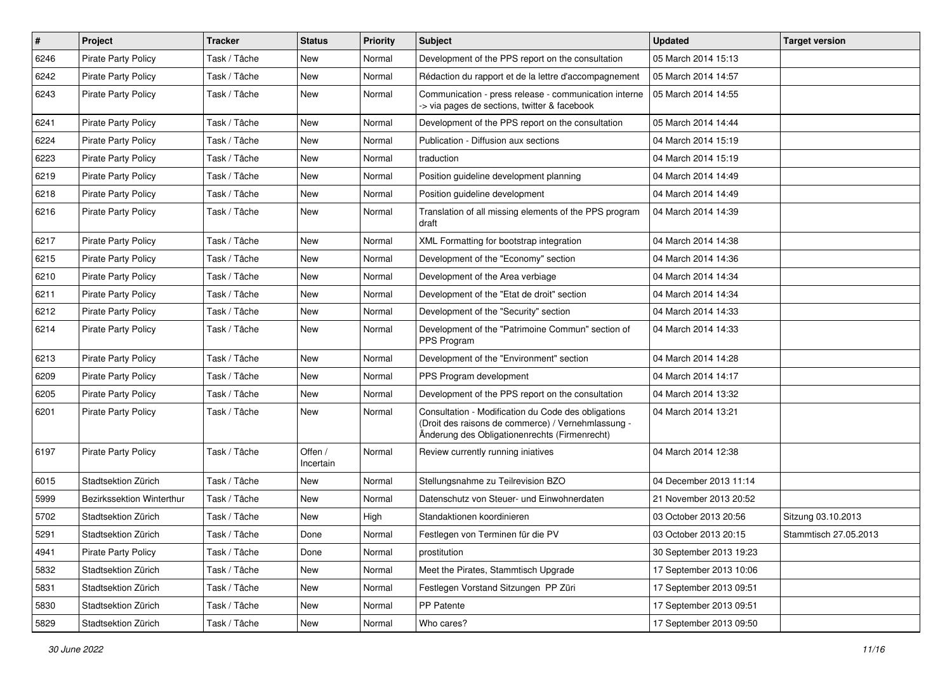| $\pmb{\#}$ | <b>Project</b>             | <b>Tracker</b> | <b>Status</b>        | <b>Priority</b> | <b>Subject</b>                                                                                                                                             | <b>Updated</b>          | <b>Target version</b> |
|------------|----------------------------|----------------|----------------------|-----------------|------------------------------------------------------------------------------------------------------------------------------------------------------------|-------------------------|-----------------------|
| 6246       | <b>Pirate Party Policy</b> | Task / Tâche   | New                  | Normal          | Development of the PPS report on the consultation                                                                                                          | 05 March 2014 15:13     |                       |
| 6242       | <b>Pirate Party Policy</b> | Task / Tâche   | <b>New</b>           | Normal          | Rédaction du rapport et de la lettre d'accompagnement                                                                                                      | 05 March 2014 14:57     |                       |
| 6243       | <b>Pirate Party Policy</b> | Task / Tâche   | New                  | Normal          | Communication - press release - communication interne<br>-> via pages de sections, twitter & facebook                                                      | 05 March 2014 14:55     |                       |
| 6241       | <b>Pirate Party Policy</b> | Task / Tâche   | <b>New</b>           | Normal          | Development of the PPS report on the consultation                                                                                                          | 05 March 2014 14:44     |                       |
| 6224       | <b>Pirate Party Policy</b> | Task / Tâche   | New                  | Normal          | Publication - Diffusion aux sections                                                                                                                       | 04 March 2014 15:19     |                       |
| 6223       | <b>Pirate Party Policy</b> | Task / Tâche   | New                  | Normal          | traduction                                                                                                                                                 | 04 March 2014 15:19     |                       |
| 6219       | <b>Pirate Party Policy</b> | Task / Tâche   | New                  | Normal          | Position guideline development planning                                                                                                                    | 04 March 2014 14:49     |                       |
| 6218       | Pirate Party Policy        | Task / Tâche   | New                  | Normal          | Position guideline development                                                                                                                             | 04 March 2014 14:49     |                       |
| 6216       | <b>Pirate Party Policy</b> | Task / Tâche   | <b>New</b>           | Normal          | Translation of all missing elements of the PPS program<br>draft                                                                                            | 04 March 2014 14:39     |                       |
| 6217       | <b>Pirate Party Policy</b> | Task / Tâche   | New                  | Normal          | XML Formatting for bootstrap integration                                                                                                                   | 04 March 2014 14:38     |                       |
| 6215       | <b>Pirate Party Policy</b> | Task / Tâche   | New                  | Normal          | Development of the "Economy" section                                                                                                                       | 04 March 2014 14:36     |                       |
| 6210       | <b>Pirate Party Policy</b> | Task / Tâche   | New                  | Normal          | Development of the Area verbiage                                                                                                                           | 04 March 2014 14:34     |                       |
| 6211       | <b>Pirate Party Policy</b> | Task / Tâche   | New                  | Normal          | Development of the "Etat de droit" section                                                                                                                 | 04 March 2014 14:34     |                       |
| 6212       | <b>Pirate Party Policy</b> | Task / Tâche   | New                  | Normal          | Development of the "Security" section                                                                                                                      | 04 March 2014 14:33     |                       |
| 6214       | Pirate Party Policy        | Task / Tâche   | New                  | Normal          | Development of the "Patrimoine Commun" section of<br>PPS Program                                                                                           | 04 March 2014 14:33     |                       |
| 6213       | <b>Pirate Party Policy</b> | Task / Tâche   | New                  | Normal          | Development of the "Environment" section                                                                                                                   | 04 March 2014 14:28     |                       |
| 6209       | <b>Pirate Party Policy</b> | Task / Tâche   | New                  | Normal          | PPS Program development                                                                                                                                    | 04 March 2014 14:17     |                       |
| 6205       | Pirate Party Policy        | Task / Tâche   | New                  | Normal          | Development of the PPS report on the consultation                                                                                                          | 04 March 2014 13:32     |                       |
| 6201       | <b>Pirate Party Policy</b> | Task / Tâche   | New                  | Normal          | Consultation - Modification du Code des obligations<br>(Droit des raisons de commerce) / Vernehmlassung -<br>Änderung des Obligationenrechts (Firmenrecht) | 04 March 2014 13:21     |                       |
| 6197       | <b>Pirate Party Policy</b> | Task / Tâche   | Offen /<br>Incertain | Normal          | Review currently running iniatives                                                                                                                         | 04 March 2014 12:38     |                       |
| 6015       | Stadtsektion Zürich        | Task / Tâche   | New                  | Normal          | Stellungsnahme zu Teilrevision BZO                                                                                                                         | 04 December 2013 11:14  |                       |
| 5999       | Bezirkssektion Winterthur  | Task / Tâche   | New                  | Normal          | Datenschutz von Steuer- und Einwohnerdaten                                                                                                                 | 21 November 2013 20:52  |                       |
| 5702       | Stadtsektion Zürich        | Task / Tâche   | New                  | High            | Standaktionen koordinieren                                                                                                                                 | 03 October 2013 20:56   | Sitzung 03.10.2013    |
| 5291       | Stadtsektion Zürich        | Task / Tâche   | Done                 | Normal          | Festlegen von Terminen für die PV                                                                                                                          | 03 October 2013 20:15   | Stammtisch 27.05.2013 |
| 4941       | <b>Pirate Party Policy</b> | Task / Tâche   | Done                 | Normal          | prostitution                                                                                                                                               | 30 September 2013 19:23 |                       |
| 5832       | Stadtsektion Zürich        | Task / Tâche   | New                  | Normal          | Meet the Pirates, Stammtisch Upgrade                                                                                                                       | 17 September 2013 10:06 |                       |
| 5831       | Stadtsektion Zürich        | Task / Tâche   | New                  | Normal          | Festlegen Vorstand Sitzungen PP Züri                                                                                                                       | 17 September 2013 09:51 |                       |
| 5830       | Stadtsektion Zürich        | Task / Tâche   | New                  | Normal          | PP Patente                                                                                                                                                 | 17 September 2013 09:51 |                       |
| 5829       | Stadtsektion Zürich        | Task / Tâche   | New                  | Normal          | Who cares?                                                                                                                                                 | 17 September 2013 09:50 |                       |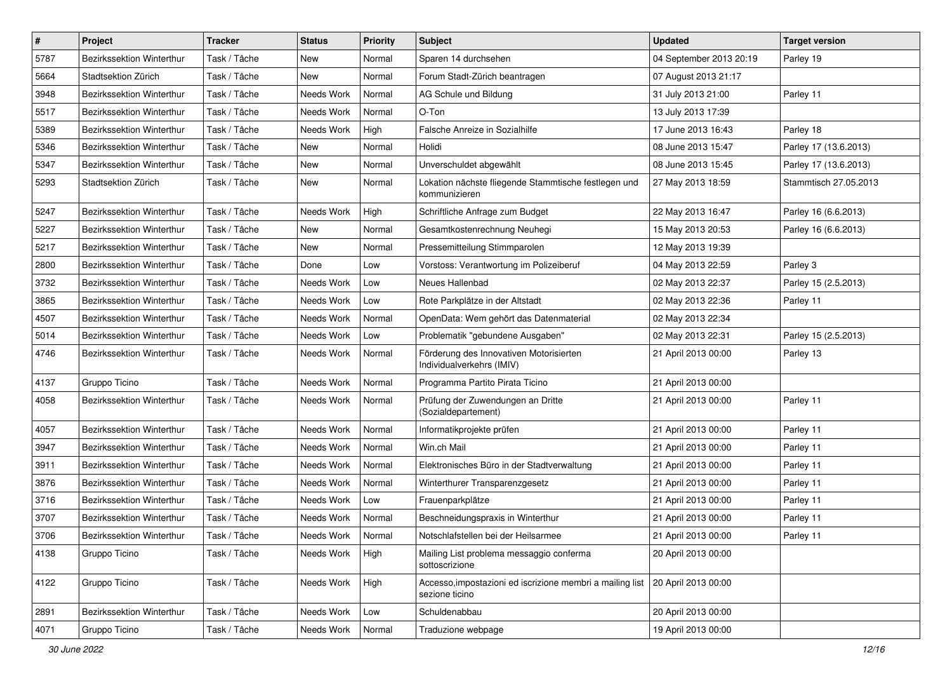| $\pmb{\#}$ | Project                          | <b>Tracker</b> | <b>Status</b> | <b>Priority</b> | <b>Subject</b>                                                                                    | <b>Updated</b>          | <b>Target version</b> |
|------------|----------------------------------|----------------|---------------|-----------------|---------------------------------------------------------------------------------------------------|-------------------------|-----------------------|
| 5787       | Bezirkssektion Winterthur        | Task / Tâche   | New           | Normal          | Sparen 14 durchsehen                                                                              | 04 September 2013 20:19 | Parley 19             |
| 5664       | Stadtsektion Zürich              | Task / Tâche   | New           | Normal          | Forum Stadt-Zürich beantragen                                                                     | 07 August 2013 21:17    |                       |
| 3948       | Bezirkssektion Winterthur        | Task / Tâche   | Needs Work    | Normal          | AG Schule und Bildung                                                                             | 31 July 2013 21:00      | Parley 11             |
| 5517       | Bezirkssektion Winterthur        | Task / Tâche   | Needs Work    | Normal          | O-Ton                                                                                             | 13 July 2013 17:39      |                       |
| 5389       | Bezirkssektion Winterthur        | Task / Tâche   | Needs Work    | High            | Falsche Anreize in Sozialhilfe                                                                    | 17 June 2013 16:43      | Parley 18             |
| 5346       | Bezirkssektion Winterthur        | Task / Tâche   | New           | Normal          | Holidi                                                                                            | 08 June 2013 15:47      | Parley 17 (13.6.2013) |
| 5347       | <b>Bezirkssektion Winterthur</b> | Task / Tâche   | New           | Normal          | Unverschuldet abgewählt                                                                           | 08 June 2013 15:45      | Parley 17 (13.6.2013) |
| 5293       | Stadtsektion Zürich              | Task / Tâche   | New           | Normal          | Lokation nächste fliegende Stammtische festlegen und<br>kommunizieren                             | 27 May 2013 18:59       | Stammtisch 27.05.2013 |
| 5247       | Bezirkssektion Winterthur        | Task / Tâche   | Needs Work    | High            | Schriftliche Anfrage zum Budget                                                                   | 22 May 2013 16:47       | Parley 16 (6.6.2013)  |
| 5227       | Bezirkssektion Winterthur        | Task / Tâche   | New           | Normal          | Gesamtkostenrechnung Neuhegi                                                                      | 15 May 2013 20:53       | Parley 16 (6.6.2013)  |
| 5217       | Bezirkssektion Winterthur        | Task / Tâche   | New           | Normal          | Pressemitteilung Stimmparolen                                                                     | 12 May 2013 19:39       |                       |
| 2800       | Bezirkssektion Winterthur        | Task / Tâche   | Done          | Low             | Vorstoss: Verantwortung im Polizeiberuf                                                           | 04 May 2013 22:59       | Parley 3              |
| 3732       | Bezirkssektion Winterthur        | Task / Tâche   | Needs Work    | Low             | Neues Hallenbad                                                                                   | 02 May 2013 22:37       | Parley 15 (2.5.2013)  |
| 3865       | Bezirkssektion Winterthur        | Task / Tâche   | Needs Work    | Low             | Rote Parkplätze in der Altstadt                                                                   | 02 May 2013 22:36       | Parley 11             |
| 4507       | <b>Bezirkssektion Winterthur</b> | Task / Tâche   | Needs Work    | Normal          | OpenData: Wem gehört das Datenmaterial                                                            | 02 May 2013 22:34       |                       |
| 5014       | Bezirkssektion Winterthur        | Task / Tâche   | Needs Work    | Low             | Problematik "gebundene Ausgaben"                                                                  | 02 May 2013 22:31       | Parley 15 (2.5.2013)  |
| 4746       | Bezirkssektion Winterthur        | Task / Tâche   | Needs Work    | Normal          | Förderung des Innovativen Motorisierten<br>Individualverkehrs (IMIV)                              | 21 April 2013 00:00     | Parley 13             |
| 4137       | Gruppo Ticino                    | Task / Tâche   | Needs Work    | Normal          | Programma Partito Pirata Ticino                                                                   | 21 April 2013 00:00     |                       |
| 4058       | Bezirkssektion Winterthur        | Task / Tâche   | Needs Work    | Normal          | Prüfung der Zuwendungen an Dritte<br>(Sozialdepartement)                                          | 21 April 2013 00:00     | Parley 11             |
| 4057       | Bezirkssektion Winterthur        | Task / Tâche   | Needs Work    | Normal          | Informatikprojekte prüfen                                                                         | 21 April 2013 00:00     | Parley 11             |
| 3947       | Bezirkssektion Winterthur        | Task / Tâche   | Needs Work    | Normal          | Win.ch Mail                                                                                       | 21 April 2013 00:00     | Parley 11             |
| 3911       | Bezirkssektion Winterthur        | Task / Tâche   | Needs Work    | Normal          | Elektronisches Büro in der Stadtverwaltung                                                        | 21 April 2013 00:00     | Parley 11             |
| 3876       | <b>Bezirkssektion Winterthur</b> | Task / Tâche   | Needs Work    | Normal          | Winterthurer Transparenzgesetz                                                                    | 21 April 2013 00:00     | Parley 11             |
| 3716       | <b>Bezirkssektion Winterthur</b> | Task / Tâche   | Needs Work    | Low             | Frauenparkplätze                                                                                  | 21 April 2013 00:00     | Parley 11             |
| 3707       | <b>Bezirkssektion Winterthur</b> | Task / Tâche   | Needs Work    | Normal          | Beschneidungspraxis in Winterthur                                                                 | 21 April 2013 00:00     | Parley 11             |
| 3706       | Bezirkssektion Winterthur        | Task / Tâche   | Needs Work    | Normal          | Notschlafstellen bei der Heilsarmee                                                               | 21 April 2013 00:00     | Parley 11             |
| 4138       | Gruppo Ticino                    | Task / Tâche   | Needs Work    | High            | Mailing List problema messaggio conferma<br>sottoscrizione                                        | 20 April 2013 00:00     |                       |
| 4122       | Gruppo Ticino                    | Task / Tâche   | Needs Work    | High            | Accesso, impostazioni ed iscrizione membri a mailing list   20 April 2013 00:00<br>sezione ticino |                         |                       |
| 2891       | Bezirkssektion Winterthur        | Task / Tâche   | Needs Work    | Low             | Schuldenabbau                                                                                     | 20 April 2013 00:00     |                       |
| 4071       | Gruppo Ticino                    | Task / Tâche   | Needs Work    | Normal          | Traduzione webpage                                                                                | 19 April 2013 00:00     |                       |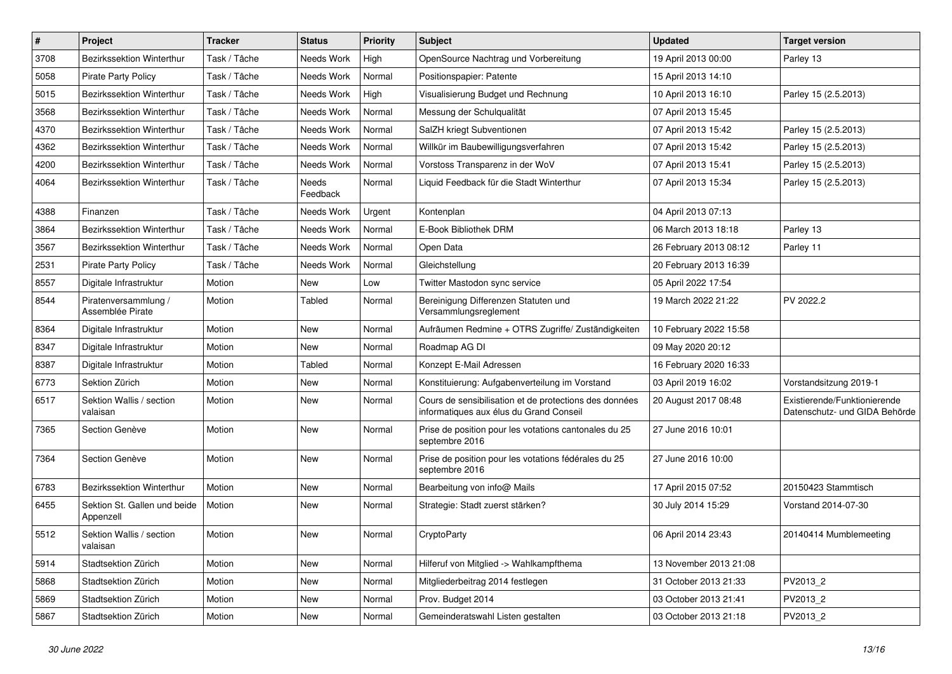| $\pmb{\#}$ | Project                                   | <b>Tracker</b> | <b>Status</b>     | <b>Priority</b> | <b>Subject</b>                                                                                    | <b>Updated</b>         | <b>Target version</b>                                         |
|------------|-------------------------------------------|----------------|-------------------|-----------------|---------------------------------------------------------------------------------------------------|------------------------|---------------------------------------------------------------|
| 3708       | Bezirkssektion Winterthur                 | Task / Tâche   | Needs Work        | High            | OpenSource Nachtrag und Vorbereitung                                                              | 19 April 2013 00:00    | Parley 13                                                     |
| 5058       | Pirate Party Policy                       | Task / Tâche   | Needs Work        | Normal          | Positionspapier: Patente                                                                          | 15 April 2013 14:10    |                                                               |
| 5015       | Bezirkssektion Winterthur                 | Task / Tâche   | Needs Work        | High            | Visualisierung Budget und Rechnung                                                                | 10 April 2013 16:10    | Parley 15 (2.5.2013)                                          |
| 3568       | Bezirkssektion Winterthur                 | Task / Tâche   | Needs Work        | Normal          | Messung der Schulqualität                                                                         | 07 April 2013 15:45    |                                                               |
| 4370       | Bezirkssektion Winterthur                 | Task / Tâche   | Needs Work        | Normal          | SalZH kriegt Subventionen                                                                         | 07 April 2013 15:42    | Parley 15 (2.5.2013)                                          |
| 4362       | Bezirkssektion Winterthur                 | Task / Tâche   | Needs Work        | Normal          | Willkür im Baubewilligungsverfahren                                                               | 07 April 2013 15:42    | Parley 15 (2.5.2013)                                          |
| 4200       | Bezirkssektion Winterthur                 | Task / Tâche   | Needs Work        | Normal          | Vorstoss Transparenz in der WoV                                                                   | 07 April 2013 15:41    | Parley 15 (2.5.2013)                                          |
| 4064       | Bezirkssektion Winterthur                 | Task / Tâche   | Needs<br>Feedback | Normal          | Liquid Feedback für die Stadt Winterthur                                                          | 07 April 2013 15:34    | Parley 15 (2.5.2013)                                          |
| 4388       | Finanzen                                  | Task / Tâche   | Needs Work        | Urgent          | Kontenplan                                                                                        | 04 April 2013 07:13    |                                                               |
| 3864       | Bezirkssektion Winterthur                 | Task / Tâche   | Needs Work        | Normal          | E-Book Bibliothek DRM                                                                             | 06 March 2013 18:18    | Parley 13                                                     |
| 3567       | Bezirkssektion Winterthur                 | Task / Tâche   | Needs Work        | Normal          | Open Data                                                                                         | 26 February 2013 08:12 | Parley 11                                                     |
| 2531       | <b>Pirate Party Policy</b>                | Task / Tâche   | Needs Work        | Normal          | Gleichstellung                                                                                    | 20 February 2013 16:39 |                                                               |
| 8557       | Digitale Infrastruktur                    | Motion         | New               | Low             | Twitter Mastodon sync service                                                                     | 05 April 2022 17:54    |                                                               |
| 8544       | Piratenversammlung /<br>Assemblée Pirate  | Motion         | Tabled            | Normal          | Bereinigung Differenzen Statuten und<br>Versammlungsreglement                                     | 19 March 2022 21:22    | PV 2022.2                                                     |
| 8364       | Digitale Infrastruktur                    | Motion         | New               | Normal          | Aufräumen Redmine + OTRS Zugriffe/ Zuständigkeiten                                                | 10 February 2022 15:58 |                                                               |
| 8347       | Digitale Infrastruktur                    | Motion         | <b>New</b>        | Normal          | Roadmap AG DI                                                                                     | 09 May 2020 20:12      |                                                               |
| 8387       | Digitale Infrastruktur                    | Motion         | Tabled            | Normal          | Konzept E-Mail Adressen                                                                           | 16 February 2020 16:33 |                                                               |
| 6773       | Sektion Zürich                            | Motion         | New               | Normal          | Konstituierung: Aufgabenverteilung im Vorstand                                                    | 03 April 2019 16:02    | Vorstandsitzung 2019-1                                        |
| 6517       | Sektion Wallis / section<br>valaisan      | Motion         | <b>New</b>        | Normal          | Cours de sensibilisation et de protections des données<br>informatiques aux élus du Grand Conseil | 20 August 2017 08:48   | Existierende/Funktionierende<br>Datenschutz- und GIDA Behörde |
| 7365       | Section Genève                            | Motion         | <b>New</b>        | Normal          | Prise de position pour les votations cantonales du 25<br>septembre 2016                           | 27 June 2016 10:01     |                                                               |
| 7364       | Section Genève                            | Motion         | <b>New</b>        | Normal          | Prise de position pour les votations fédérales du 25<br>septembre 2016                            | 27 June 2016 10:00     |                                                               |
| 6783       | <b>Bezirkssektion Winterthur</b>          | Motion         | New               | Normal          | Bearbeitung von info@ Mails                                                                       | 17 April 2015 07:52    | 20150423 Stammtisch                                           |
| 6455       | Sektion St. Gallen und beide<br>Appenzell | Motion         | New               | Normal          | Strategie: Stadt zuerst stärken?                                                                  | 30 July 2014 15:29     | Vorstand 2014-07-30                                           |
| 5512       | Sektion Wallis / section<br>valaisan      | Motion         | New               | Normal          | CryptoParty                                                                                       | 06 April 2014 23:43    | 20140414 Mumblemeeting                                        |
| 5914       | Stadtsektion Zürich                       | Motion         | New               | Normal          | Hilferuf von Mitglied -> Wahlkampfthema                                                           | 13 November 2013 21:08 |                                                               |
| 5868       | Stadtsektion Zürich                       | Motion         | New               | Normal          | Mitgliederbeitrag 2014 festlegen                                                                  | 31 October 2013 21:33  | PV2013_2                                                      |
| 5869       | Stadtsektion Zürich                       | Motion         | New               | Normal          | Prov. Budget 2014                                                                                 | 03 October 2013 21:41  | PV2013_2                                                      |
| 5867       | Stadtsektion Zürich                       | Motion         | New               | Normal          | Gemeinderatswahl Listen gestalten                                                                 | 03 October 2013 21:18  | PV2013_2                                                      |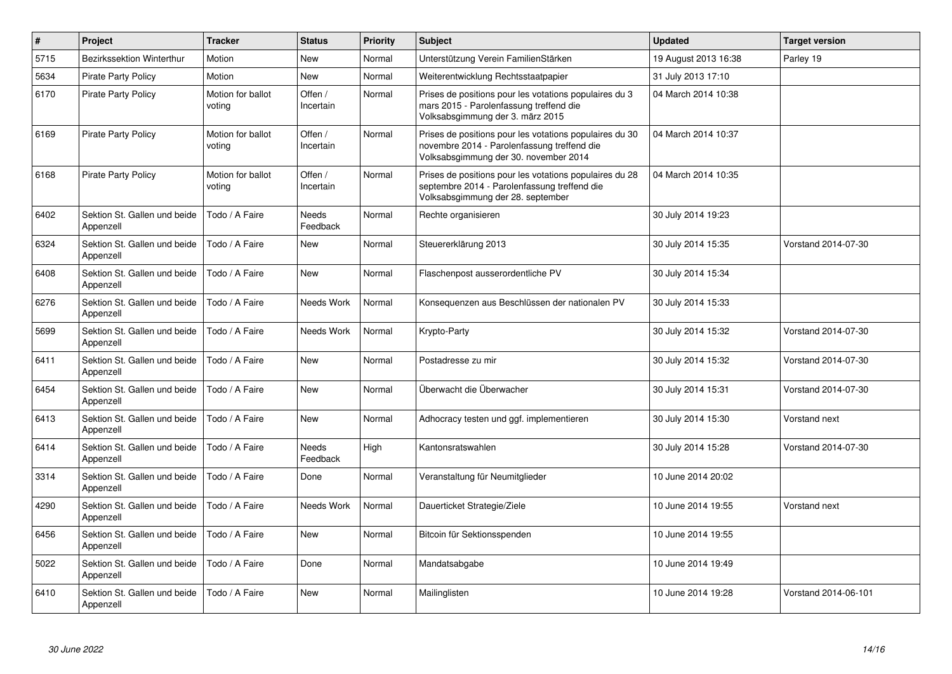| $\pmb{\#}$ | Project                                   | <b>Tracker</b>              | <b>Status</b>            | <b>Priority</b> | <b>Subject</b>                                                                                                                                  | <b>Updated</b>       | <b>Target version</b> |
|------------|-------------------------------------------|-----------------------------|--------------------------|-----------------|-------------------------------------------------------------------------------------------------------------------------------------------------|----------------------|-----------------------|
| 5715       | <b>Bezirkssektion Winterthur</b>          | Motion                      | <b>New</b>               | Normal          | Unterstützung Verein FamilienStärken                                                                                                            | 19 August 2013 16:38 | Parley 19             |
| 5634       | <b>Pirate Party Policy</b>                | Motion                      | <b>New</b>               | Normal          | Weiterentwicklung Rechtsstaatpapier                                                                                                             | 31 July 2013 17:10   |                       |
| 6170       | <b>Pirate Party Policy</b>                | Motion for ballot<br>voting | Offen /<br>Incertain     | Normal          | Prises de positions pour les votations populaires du 3<br>mars 2015 - Parolenfassung treffend die<br>Volksabsgimmung der 3. märz 2015           | 04 March 2014 10:38  |                       |
| 6169       | <b>Pirate Party Policy</b>                | Motion for ballot<br>voting | Offen /<br>Incertain     | Normal          | Prises de positions pour les votations populaires du 30<br>novembre 2014 - Parolenfassung treffend die<br>Volksabsgimmung der 30. november 2014 | 04 March 2014 10:37  |                       |
| 6168       | <b>Pirate Party Policy</b>                | Motion for ballot<br>voting | Offen /<br>Incertain     | Normal          | Prises de positions pour les votations populaires du 28<br>septembre 2014 - Parolenfassung treffend die<br>Volksabsgimmung der 28. september    | 04 March 2014 10:35  |                       |
| 6402       | Sektion St. Gallen und beide<br>Appenzell | Todo / A Faire              | <b>Needs</b><br>Feedback | Normal          | Rechte organisieren                                                                                                                             | 30 July 2014 19:23   |                       |
| 6324       | Sektion St. Gallen und beide<br>Appenzell | Todo / A Faire              | <b>New</b>               | Normal          | Steuererklärung 2013                                                                                                                            | 30 July 2014 15:35   | Vorstand 2014-07-30   |
| 6408       | Sektion St. Gallen und beide<br>Appenzell | Todo / A Faire              | <b>New</b>               | Normal          | Flaschenpost ausserordentliche PV                                                                                                               | 30 July 2014 15:34   |                       |
| 6276       | Sektion St. Gallen und beide<br>Appenzell | Todo / A Faire              | Needs Work               | Normal          | Konsequenzen aus Beschlüssen der nationalen PV                                                                                                  | 30 July 2014 15:33   |                       |
| 5699       | Sektion St. Gallen und beide<br>Appenzell | Todo / A Faire              | Needs Work               | Normal          | Krypto-Party                                                                                                                                    | 30 July 2014 15:32   | Vorstand 2014-07-30   |
| 6411       | Sektion St. Gallen und beide<br>Appenzell | Todo / A Faire              | <b>New</b>               | Normal          | Postadresse zu mir                                                                                                                              | 30 July 2014 15:32   | Vorstand 2014-07-30   |
| 6454       | Sektion St. Gallen und beide<br>Appenzell | Todo / A Faire              | <b>New</b>               | Normal          | Überwacht die Überwacher                                                                                                                        | 30 July 2014 15:31   | Vorstand 2014-07-30   |
| 6413       | Sektion St. Gallen und beide<br>Appenzell | Todo / A Faire              | New                      | Normal          | Adhocracy testen und ggf. implementieren                                                                                                        | 30 July 2014 15:30   | Vorstand next         |
| 6414       | Sektion St. Gallen und beide<br>Appenzell | Todo / A Faire              | Needs<br>Feedback        | High            | Kantonsratswahlen                                                                                                                               | 30 July 2014 15:28   | Vorstand 2014-07-30   |
| 3314       | Sektion St. Gallen und beide<br>Appenzell | Todo / A Faire              | Done                     | Normal          | Veranstaltung für Neumitglieder                                                                                                                 | 10 June 2014 20:02   |                       |
| 4290       | Sektion St. Gallen und beide<br>Appenzell | Todo / A Faire              | Needs Work               | Normal          | Dauerticket Strategie/Ziele                                                                                                                     | 10 June 2014 19:55   | Vorstand next         |
| 6456       | Sektion St. Gallen und beide<br>Appenzell | Todo / A Faire              | New                      | Normal          | Bitcoin für Sektionsspenden                                                                                                                     | 10 June 2014 19:55   |                       |
| 5022       | Sektion St. Gallen und beide<br>Appenzell | Todo / A Faire              | Done                     | Normal          | Mandatsabgabe                                                                                                                                   | 10 June 2014 19:49   |                       |
| 6410       | Sektion St. Gallen und beide<br>Appenzell | Todo / A Faire              | New                      | Normal          | Mailinglisten                                                                                                                                   | 10 June 2014 19:28   | Vorstand 2014-06-101  |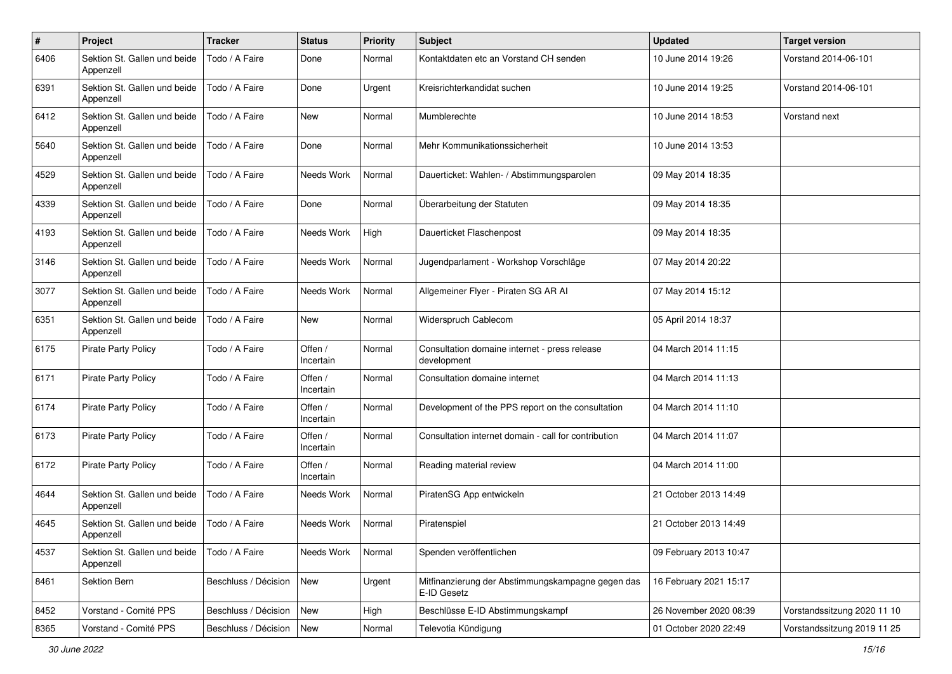| #    | Project                                   | <b>Tracker</b>       | <b>Status</b>        | <b>Priority</b> | Subject                                                          | <b>Updated</b>         | <b>Target version</b>       |
|------|-------------------------------------------|----------------------|----------------------|-----------------|------------------------------------------------------------------|------------------------|-----------------------------|
| 6406 | Sektion St. Gallen und beide<br>Appenzell | Todo / A Faire       | Done                 | Normal          | Kontaktdaten etc an Vorstand CH senden                           | 10 June 2014 19:26     | Vorstand 2014-06-101        |
| 6391 | Sektion St. Gallen und beide<br>Appenzell | Todo / A Faire       | Done                 | Urgent          | Kreisrichterkandidat suchen                                      | 10 June 2014 19:25     | Vorstand 2014-06-101        |
| 6412 | Sektion St. Gallen und beide<br>Appenzell | Todo / A Faire       | <b>New</b>           | Normal          | Mumblerechte                                                     | 10 June 2014 18:53     | Vorstand next               |
| 5640 | Sektion St. Gallen und beide<br>Appenzell | Todo / A Faire       | Done                 | Normal          | Mehr Kommunikationssicherheit                                    | 10 June 2014 13:53     |                             |
| 4529 | Sektion St. Gallen und beide<br>Appenzell | Todo / A Faire       | Needs Work           | Normal          | Dauerticket: Wahlen- / Abstimmungsparolen                        | 09 May 2014 18:35      |                             |
| 4339 | Sektion St. Gallen und beide<br>Appenzell | Todo / A Faire       | Done                 | Normal          | Überarbeitung der Statuten                                       | 09 May 2014 18:35      |                             |
| 4193 | Sektion St. Gallen und beide<br>Appenzell | Todo / A Faire       | Needs Work           | High            | Dauerticket Flaschenpost                                         | 09 May 2014 18:35      |                             |
| 3146 | Sektion St. Gallen und beide<br>Appenzell | Todo / A Faire       | Needs Work           | Normal          | Jugendparlament - Workshop Vorschläge                            | 07 May 2014 20:22      |                             |
| 3077 | Sektion St. Gallen und beide<br>Appenzell | Todo / A Faire       | Needs Work           | Normal          | Allgemeiner Flyer - Piraten SG AR Al                             | 07 May 2014 15:12      |                             |
| 6351 | Sektion St. Gallen und beide<br>Appenzell | Todo / A Faire       | <b>New</b>           | Normal          | Widerspruch Cablecom                                             | 05 April 2014 18:37    |                             |
| 6175 | <b>Pirate Party Policy</b>                | Todo / A Faire       | Offen /<br>Incertain | Normal          | Consultation domaine internet - press release<br>development     | 04 March 2014 11:15    |                             |
| 6171 | <b>Pirate Party Policy</b>                | Todo / A Faire       | Offen /<br>Incertain | Normal          | Consultation domaine internet                                    | 04 March 2014 11:13    |                             |
| 6174 | <b>Pirate Party Policy</b>                | Todo / A Faire       | Offen /<br>Incertain | Normal          | Development of the PPS report on the consultation                | 04 March 2014 11:10    |                             |
| 6173 | <b>Pirate Party Policy</b>                | Todo / A Faire       | Offen /<br>Incertain | Normal          | Consultation internet domain - call for contribution             | 04 March 2014 11:07    |                             |
| 6172 | Pirate Party Policy                       | Todo / A Faire       | Offen /<br>Incertain | Normal          | Reading material review                                          | 04 March 2014 11:00    |                             |
| 4644 | Sektion St. Gallen und beide<br>Appenzell | Todo / A Faire       | Needs Work           | Normal          | PiratenSG App entwickeln                                         | 21 October 2013 14:49  |                             |
| 4645 | Sektion St. Gallen und beide<br>Appenzell | Todo / A Faire       | Needs Work           | Normal          | Piratenspiel                                                     | 21 October 2013 14:49  |                             |
| 4537 | Sektion St. Gallen und beide<br>Appenzell | Todo / A Faire       | Needs Work           | Normal          | Spenden veröffentlichen                                          | 09 February 2013 10:47 |                             |
| 8461 | Sektion Bern                              | Beschluss / Décision | New                  | Urgent          | Mitfinanzierung der Abstimmungskampagne gegen das<br>E-ID Gesetz | 16 February 2021 15:17 |                             |
| 8452 | Vorstand - Comité PPS                     | Beschluss / Décision | New                  | High            | Beschlüsse E-ID Abstimmungskampf                                 | 26 November 2020 08:39 | Vorstandssitzung 2020 11 10 |
| 8365 | Vorstand - Comité PPS                     | Beschluss / Décision | New                  | Normal          | Televotia Kündigung                                              | 01 October 2020 22:49  | Vorstandssitzung 2019 11 25 |